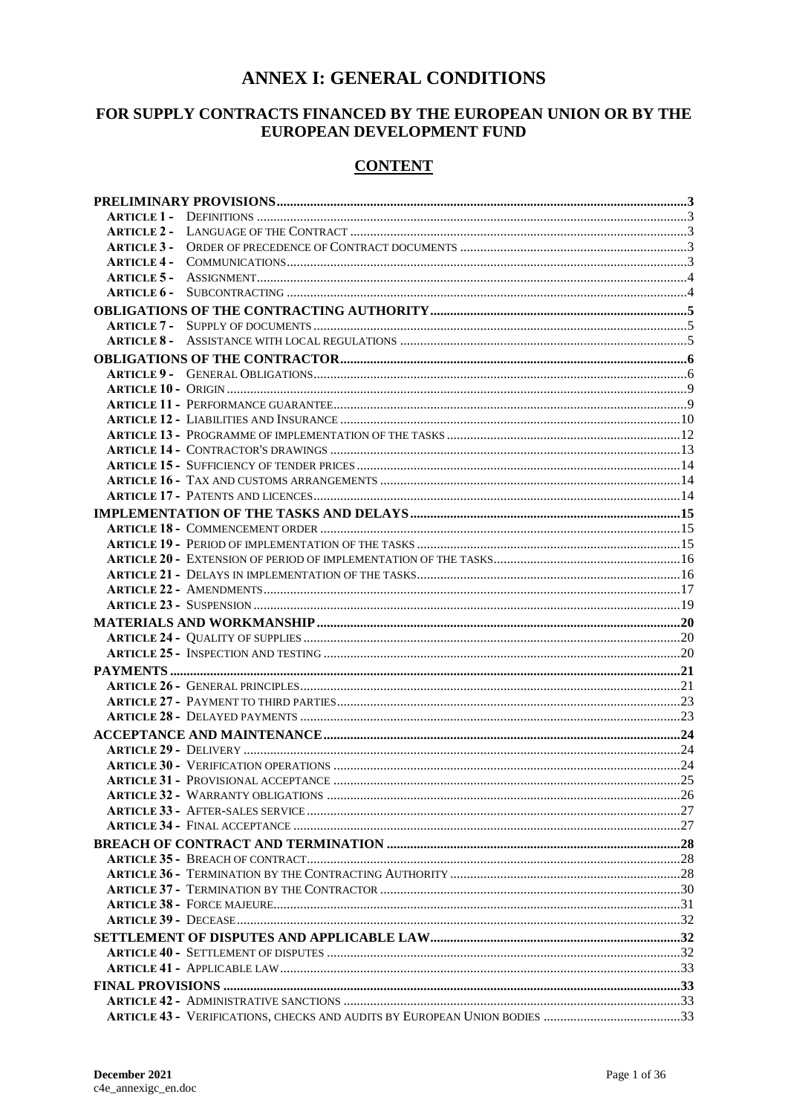## **ANNEX I: GENERAL CONDITIONS**

## FOR SUPPLY CONTRACTS FINANCED BY THE EUROPEAN UNION OR BY THE EUROPEAN DEVELOPMENT FUND

## **CONTENT**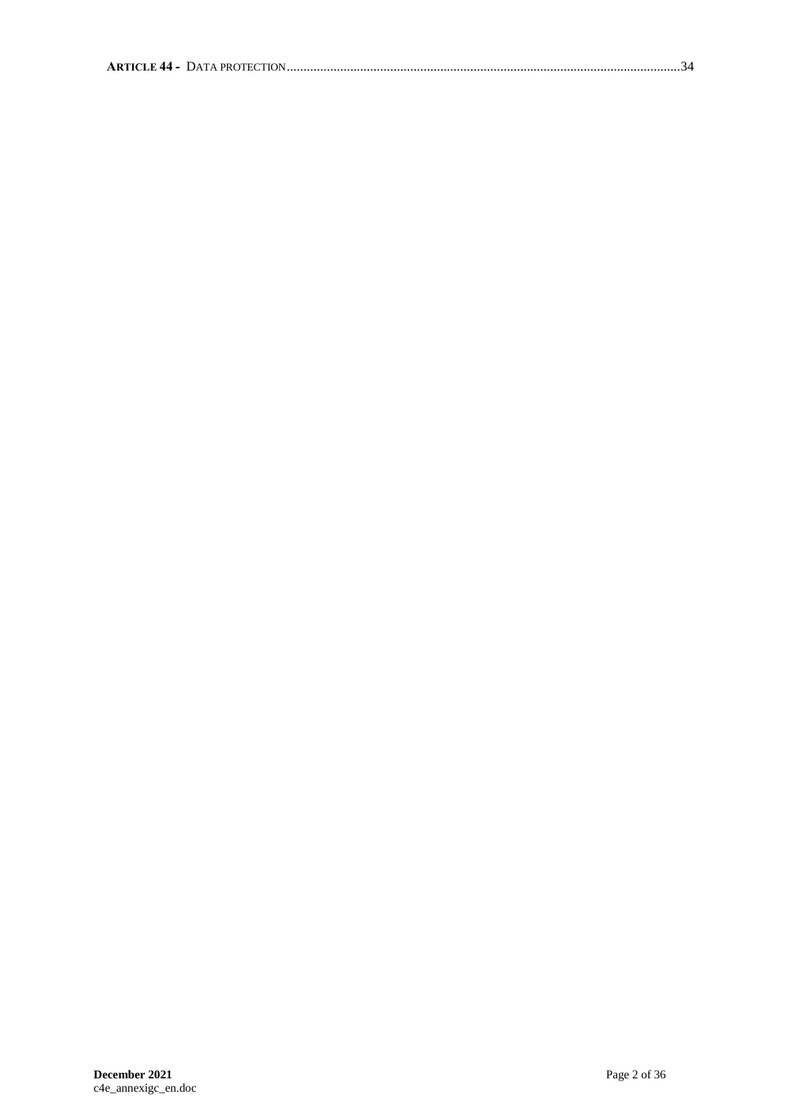|--|--|--|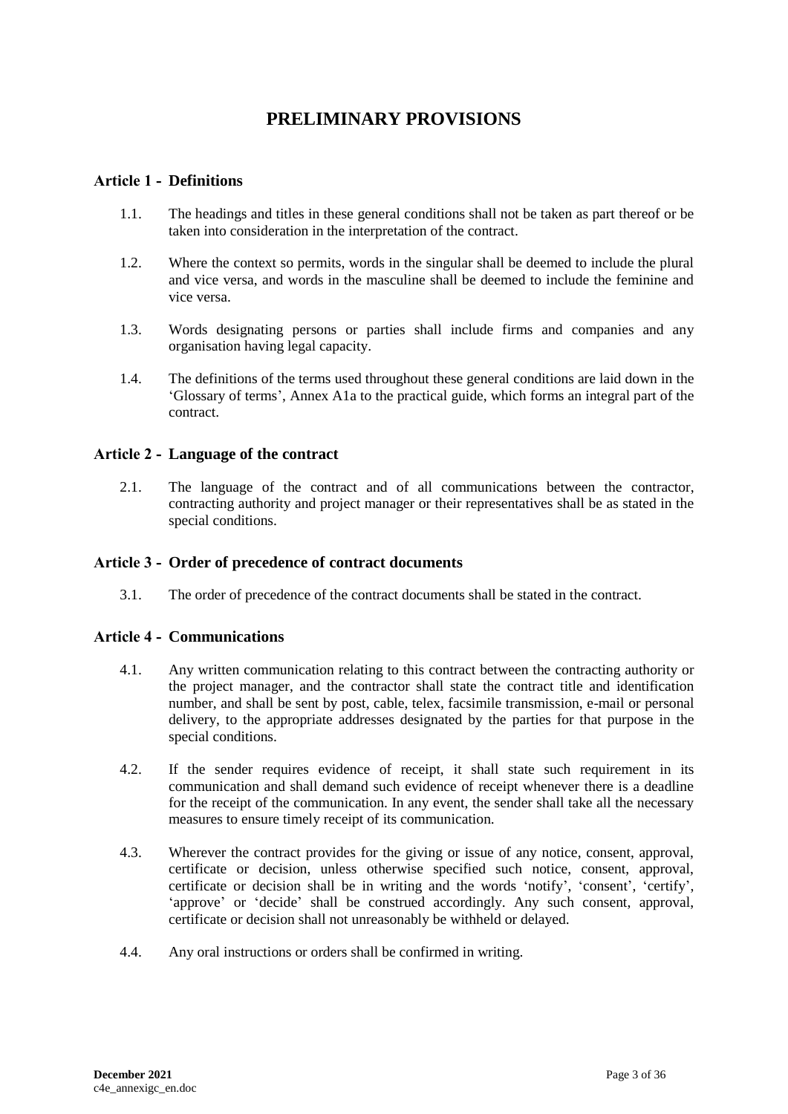# **PRELIMINARY PROVISIONS**

### <span id="page-2-1"></span><span id="page-2-0"></span>**Article 1 - Definitions**

- 1.1. The headings and titles in these general conditions shall not be taken as part thereof or be taken into consideration in the interpretation of the contract.
- 1.2. Where the context so permits, words in the singular shall be deemed to include the plural and vice versa, and words in the masculine shall be deemed to include the feminine and vice versa.
- 1.3. Words designating persons or parties shall include firms and companies and any organisation having legal capacity.
- 1.4. The definitions of the terms used throughout these general conditions are laid down in the 'Glossary of terms', Annex A1a to the practical guide, which forms an integral part of the contract.

#### <span id="page-2-2"></span>**Article 2 - Language of the contract**

2.1. The language of the contract and of all communications between the contractor, contracting authority and project manager or their representatives shall be as stated in the special conditions.

#### <span id="page-2-3"></span>**Article 3 - Order of precedence of contract documents**

3.1. The order of precedence of the contract documents shall be stated in the contract.

#### <span id="page-2-4"></span>**Article 4 - Communications**

- 4.1. Any written communication relating to this contract between the contracting authority or the project manager, and the contractor shall state the contract title and identification number, and shall be sent by post, cable, telex, facsimile transmission, e-mail or personal delivery, to the appropriate addresses designated by the parties for that purpose in the special conditions.
- 4.2. If the sender requires evidence of receipt, it shall state such requirement in its communication and shall demand such evidence of receipt whenever there is a deadline for the receipt of the communication. In any event, the sender shall take all the necessary measures to ensure timely receipt of its communication.
- 4.3. Wherever the contract provides for the giving or issue of any notice, consent, approval, certificate or decision, unless otherwise specified such notice, consent, approval, certificate or decision shall be in writing and the words 'notify', 'consent', 'certify', 'approve' or 'decide' shall be construed accordingly. Any such consent, approval, certificate or decision shall not unreasonably be withheld or delayed.
- 4.4. Any oral instructions or orders shall be confirmed in writing.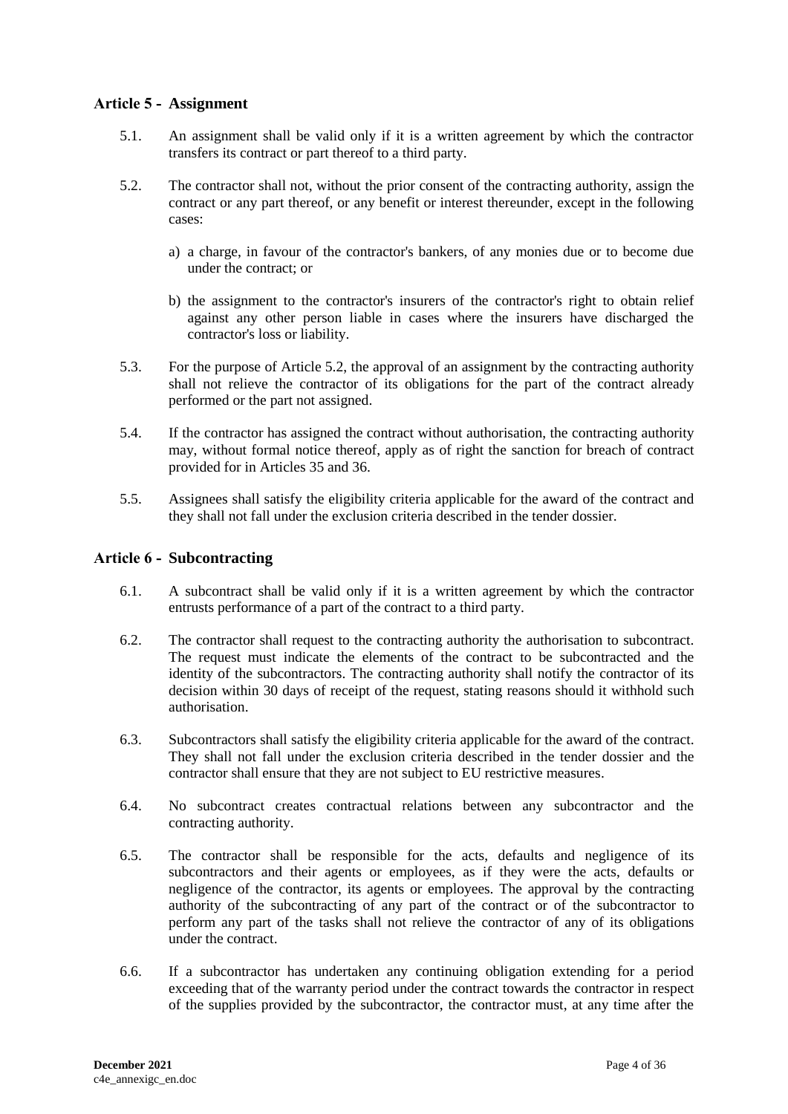## <span id="page-3-0"></span>**Article 5 - Assignment**

- 5.1. An assignment shall be valid only if it is a written agreement by which the contractor transfers its contract or part thereof to a third party.
- 5.2. The contractor shall not, without the prior consent of the contracting authority, assign the contract or any part thereof, or any benefit or interest thereunder, except in the following cases:
	- a) a charge, in favour of the contractor's bankers, of any monies due or to become due under the contract; or
	- b) the assignment to the contractor's insurers of the contractor's right to obtain relief against any other person liable in cases where the insurers have discharged the contractor's loss or liability.
- 5.3. For the purpose of Article 5.2, the approval of an assignment by the contracting authority shall not relieve the contractor of its obligations for the part of the contract already performed or the part not assigned.
- 5.4. If the contractor has assigned the contract without authorisation, the contracting authority may, without formal notice thereof, apply as of right the sanction for breach of contract provided for in Articles 35 and 36.
- 5.5. Assignees shall satisfy the eligibility criteria applicable for the award of the contract and they shall not fall under the exclusion criteria described in the tender dossier.

### <span id="page-3-1"></span>**Article 6 - Subcontracting**

- 6.1. A subcontract shall be valid only if it is a written agreement by which the contractor entrusts performance of a part of the contract to a third party.
- 6.2. The contractor shall request to the contracting authority the authorisation to subcontract. The request must indicate the elements of the contract to be subcontracted and the identity of the subcontractors. The contracting authority shall notify the contractor of its decision within 30 days of receipt of the request, stating reasons should it withhold such authorisation.
- 6.3. Subcontractors shall satisfy the eligibility criteria applicable for the award of the contract. They shall not fall under the exclusion criteria described in the tender dossier and the contractor shall ensure that they are not subject to EU restrictive measures.
- 6.4. No subcontract creates contractual relations between any subcontractor and the contracting authority.
- 6.5. The contractor shall be responsible for the acts, defaults and negligence of its subcontractors and their agents or employees, as if they were the acts, defaults or negligence of the contractor, its agents or employees. The approval by the contracting authority of the subcontracting of any part of the contract or of the subcontractor to perform any part of the tasks shall not relieve the contractor of any of its obligations under the contract.
- 6.6. If a subcontractor has undertaken any continuing obligation extending for a period exceeding that of the warranty period under the contract towards the contractor in respect of the supplies provided by the subcontractor, the contractor must, at any time after the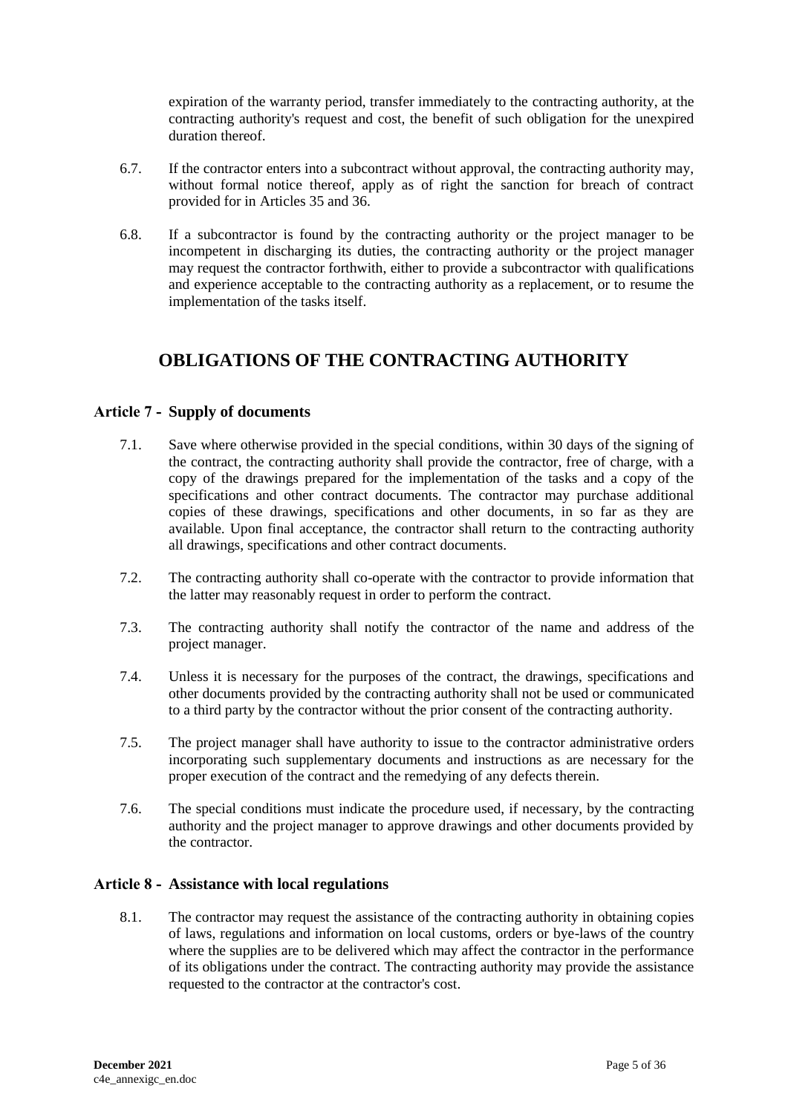expiration of the warranty period, transfer immediately to the contracting authority, at the contracting authority's request and cost, the benefit of such obligation for the unexpired duration thereof.

- 6.7. If the contractor enters into a subcontract without approval, the contracting authority may, without formal notice thereof, apply as of right the sanction for breach of contract provided for in Articles 35 and 36.
- 6.8. If a subcontractor is found by the contracting authority or the project manager to be incompetent in discharging its duties, the contracting authority or the project manager may request the contractor forthwith, either to provide a subcontractor with qualifications and experience acceptable to the contracting authority as a replacement, or to resume the implementation of the tasks itself.

# <span id="page-4-0"></span>**OBLIGATIONS OF THE CONTRACTING AUTHORITY**

## <span id="page-4-1"></span>**Article 7 - Supply of documents**

- 7.1. Save where otherwise provided in the special conditions, within 30 days of the signing of the contract, the contracting authority shall provide the contractor, free of charge, with a copy of the drawings prepared for the implementation of the tasks and a copy of the specifications and other contract documents. The contractor may purchase additional copies of these drawings, specifications and other documents, in so far as they are available. Upon final acceptance, the contractor shall return to the contracting authority all drawings, specifications and other contract documents.
- 7.2. The contracting authority shall co-operate with the contractor to provide information that the latter may reasonably request in order to perform the contract.
- 7.3. The contracting authority shall notify the contractor of the name and address of the project manager.
- 7.4. Unless it is necessary for the purposes of the contract, the drawings, specifications and other documents provided by the contracting authority shall not be used or communicated to a third party by the contractor without the prior consent of the contracting authority.
- 7.5. The project manager shall have authority to issue to the contractor administrative orders incorporating such supplementary documents and instructions as are necessary for the proper execution of the contract and the remedying of any defects therein.
- 7.6. The special conditions must indicate the procedure used, if necessary, by the contracting authority and the project manager to approve drawings and other documents provided by the contractor.

### <span id="page-4-2"></span>**Article 8 - Assistance with local regulations**

8.1. The contractor may request the assistance of the contracting authority in obtaining copies of laws, regulations and information on local customs, orders or bye-laws of the country where the supplies are to be delivered which may affect the contractor in the performance of its obligations under the contract. The contracting authority may provide the assistance requested to the contractor at the contractor's cost.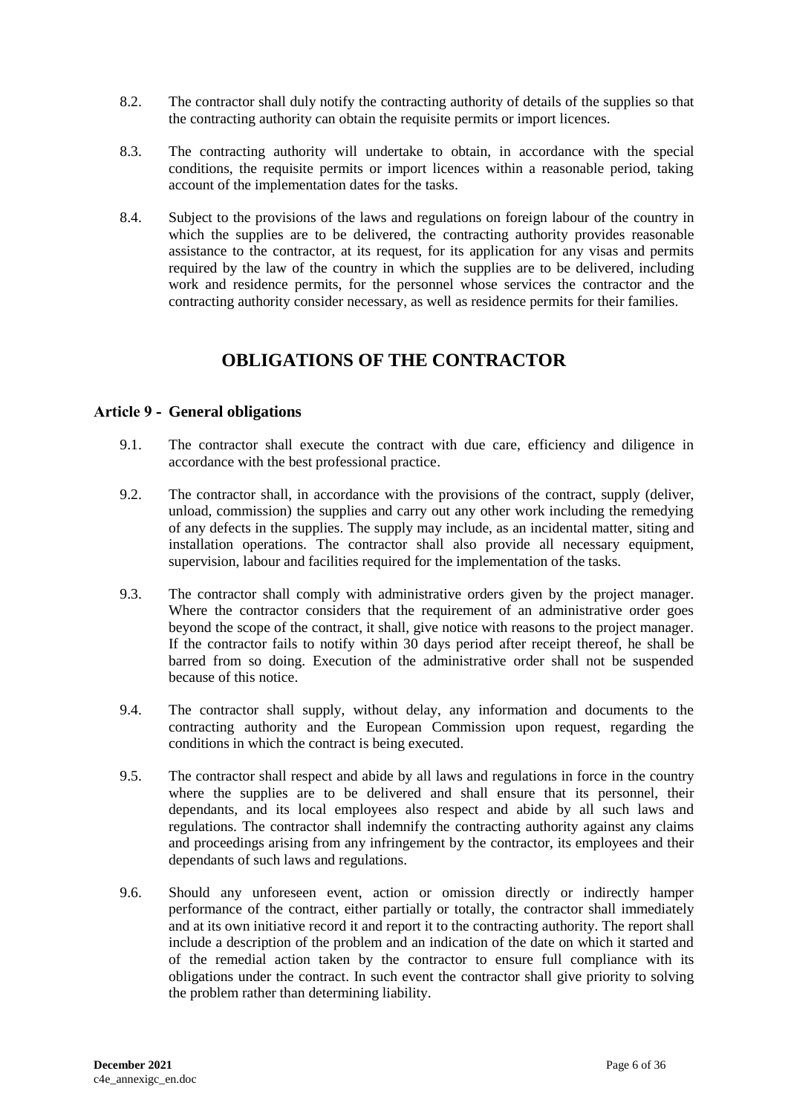- 8.2. The contractor shall duly notify the contracting authority of details of the supplies so that the contracting authority can obtain the requisite permits or import licences.
- 8.3. The contracting authority will undertake to obtain, in accordance with the special conditions, the requisite permits or import licences within a reasonable period, taking account of the implementation dates for the tasks.
- 8.4. Subject to the provisions of the laws and regulations on foreign labour of the country in which the supplies are to be delivered, the contracting authority provides reasonable assistance to the contractor, at its request, for its application for any visas and permits required by the law of the country in which the supplies are to be delivered, including work and residence permits, for the personnel whose services the contractor and the contracting authority consider necessary, as well as residence permits for their families.

# **OBLIGATIONS OF THE CONTRACTOR**

### <span id="page-5-1"></span><span id="page-5-0"></span>**Article 9 - General obligations**

- 9.1. The contractor shall execute the contract with due care, efficiency and diligence in accordance with the best professional practice.
- 9.2. The contractor shall, in accordance with the provisions of the contract, supply (deliver, unload, commission) the supplies and carry out any other work including the remedying of any defects in the supplies. The supply may include, as an incidental matter, siting and installation operations. The contractor shall also provide all necessary equipment, supervision, labour and facilities required for the implementation of the tasks.
- 9.3. The contractor shall comply with administrative orders given by the project manager. Where the contractor considers that the requirement of an administrative order goes beyond the scope of the contract, it shall, give notice with reasons to the project manager. If the contractor fails to notify within 30 days period after receipt thereof, he shall be barred from so doing. Execution of the administrative order shall not be suspended because of this notice.
- 9.4. The contractor shall supply, without delay, any information and documents to the contracting authority and the European Commission upon request, regarding the conditions in which the contract is being executed.
- 9.5. The contractor shall respect and abide by all laws and regulations in force in the country where the supplies are to be delivered and shall ensure that its personnel, their dependants, and its local employees also respect and abide by all such laws and regulations. The contractor shall indemnify the contracting authority against any claims and proceedings arising from any infringement by the contractor, its employees and their dependants of such laws and regulations.
- 9.6. Should any unforeseen event, action or omission directly or indirectly hamper performance of the contract, either partially or totally, the contractor shall immediately and at its own initiative record it and report it to the contracting authority. The report shall include a description of the problem and an indication of the date on which it started and of the remedial action taken by the contractor to ensure full compliance with its obligations under the contract. In such event the contractor shall give priority to solving the problem rather than determining liability.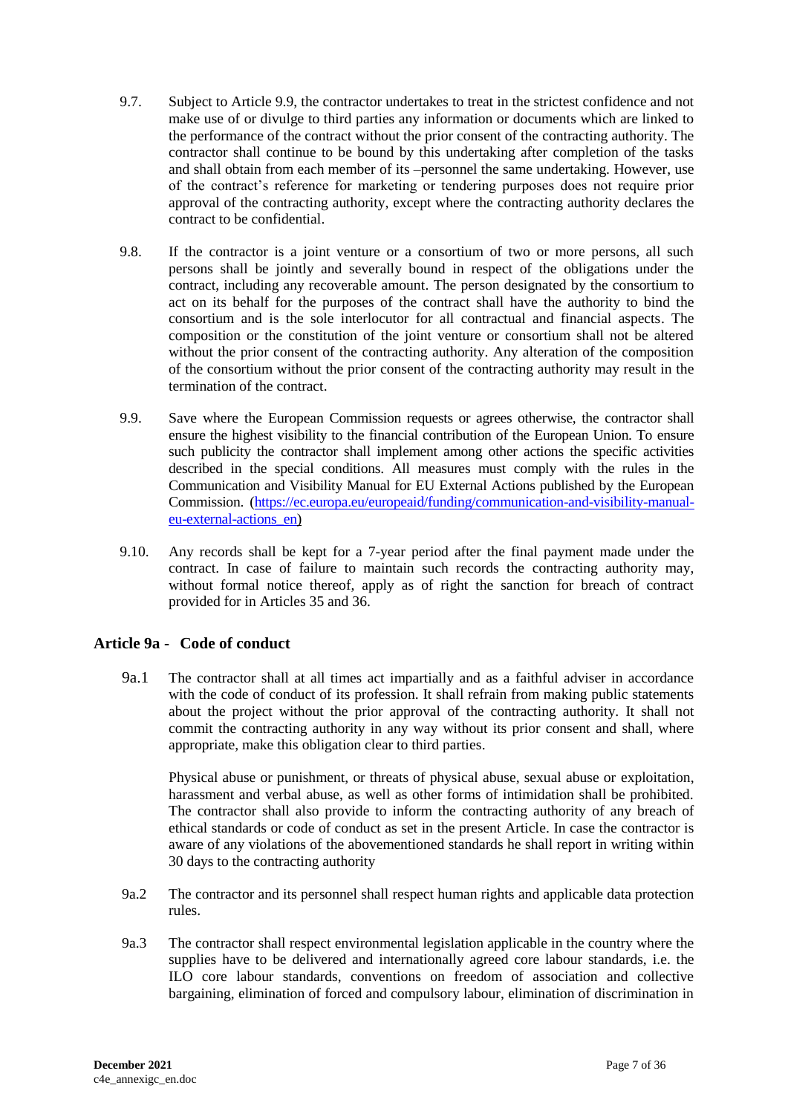- 9.7. Subject to Article 9.9, the contractor undertakes to treat in the strictest confidence and not make use of or divulge to third parties any information or documents which are linked to the performance of the contract without the prior consent of the contracting authority. The contractor shall continue to be bound by this undertaking after completion of the tasks and shall obtain from each member of its –personnel the same undertaking. However, use of the contract's reference for marketing or tendering purposes does not require prior approval of the contracting authority, except where the contracting authority declares the contract to be confidential.
- 9.8. If the contractor is a joint venture or a consortium of two or more persons, all such persons shall be jointly and severally bound in respect of the obligations under the contract, including any recoverable amount. The person designated by the consortium to act on its behalf for the purposes of the contract shall have the authority to bind the consortium and is the sole interlocutor for all contractual and financial aspects. The composition or the constitution of the joint venture or consortium shall not be altered without the prior consent of the contracting authority. Any alteration of the composition of the consortium without the prior consent of the contracting authority may result in the termination of the contract.
- 9.9. Save where the European Commission requests or agrees otherwise, the contractor shall ensure the highest visibility to the financial contribution of the European Union. To ensure such publicity the contractor shall implement among other actions the specific activities described in the special conditions. All measures must comply with the rules in the Communication and Visibility Manual for EU External Actions published by the European Commission. [\(https://ec.europa.eu/europeaid/funding/communication-and-visibility-manual](https://ec.europa.eu/europeaid/funding/communication-and-visibility-manual-eu-external-actions_en)[eu-external-actions\\_en\)](https://ec.europa.eu/europeaid/funding/communication-and-visibility-manual-eu-external-actions_en)
- 9.10. Any records shall be kept for a 7-year period after the final payment made under the contract. In case of failure to maintain such records the contracting authority may, without formal notice thereof, apply as of right the sanction for breach of contract provided for in Articles 35 and 36.

### **Article 9a - Code of conduct**

9a.1 The contractor shall at all times act impartially and as a faithful adviser in accordance with the code of conduct of its profession. It shall refrain from making public statements about the project without the prior approval of the contracting authority. It shall not commit the contracting authority in any way without its prior consent and shall, where appropriate, make this obligation clear to third parties.

Physical abuse or punishment, or threats of physical abuse, sexual abuse or exploitation, harassment and verbal abuse, as well as other forms of intimidation shall be prohibited. The contractor shall also provide to inform the contracting authority of any breach of ethical standards or code of conduct as set in the present Article. In case the contractor is aware of any violations of the abovementioned standards he shall report in writing within 30 days to the contracting authority

- 9a.2 The contractor and its personnel shall respect human rights and applicable data protection rules.
- 9a.3 The contractor shall respect environmental legislation applicable in the country where the supplies have to be delivered and internationally agreed core labour standards, i.e. the ILO core labour standards, conventions on freedom of association and collective bargaining, elimination of forced and compulsory labour, elimination of discrimination in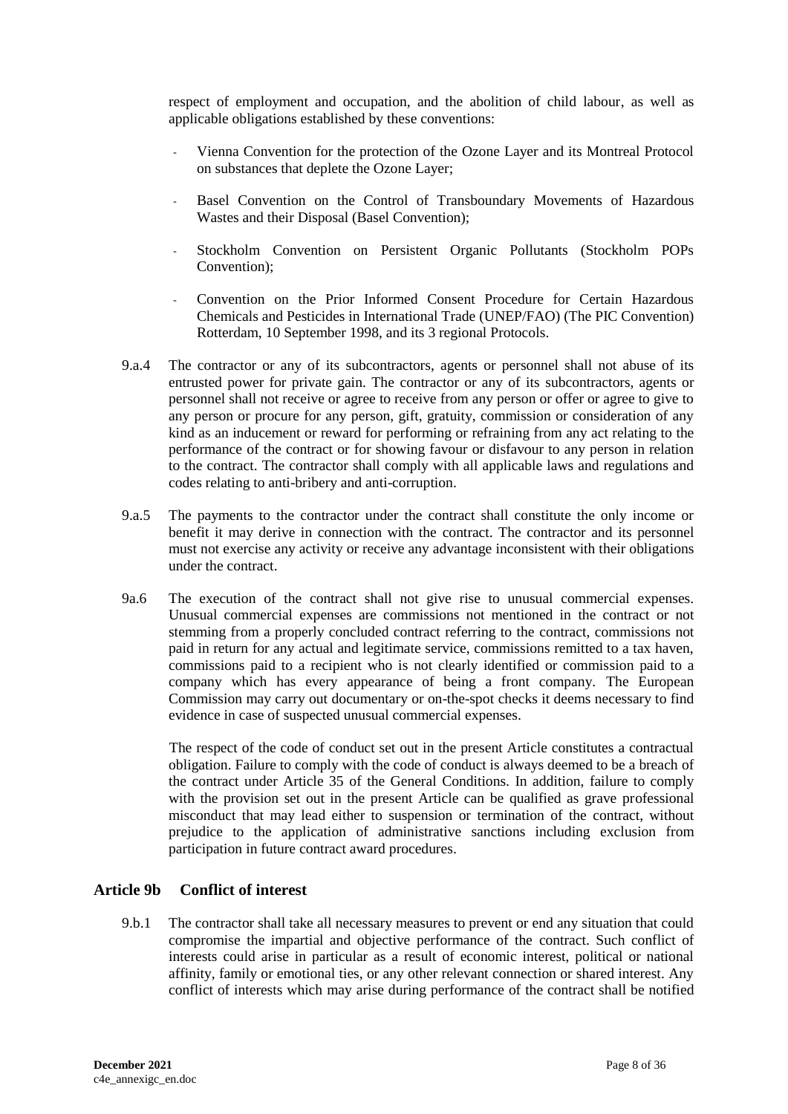respect of employment and occupation, and the abolition of child labour, as well as applicable obligations established by these conventions:

- Vienna Convention for the protection of the Ozone Layer and its Montreal Protocol on substances that deplete the Ozone Layer;
- Basel Convention on the Control of Transboundary Movements of Hazardous Wastes and their Disposal (Basel Convention);
- Stockholm Convention on Persistent Organic Pollutants (Stockholm POPs Convention);
- Convention on the Prior Informed Consent Procedure for Certain Hazardous Chemicals and Pesticides in International Trade (UNEP/FAO) (The PIC Convention) Rotterdam, 10 September 1998, and its 3 regional Protocols.
- 9.a.4 The contractor or any of its subcontractors, agents or personnel shall not abuse of its entrusted power for private gain. The contractor or any of its subcontractors, agents or personnel shall not receive or agree to receive from any person or offer or agree to give to any person or procure for any person, gift, gratuity, commission or consideration of any kind as an inducement or reward for performing or refraining from any act relating to the performance of the contract or for showing favour or disfavour to any person in relation to the contract. The contractor shall comply with all applicable laws and regulations and codes relating to anti-bribery and anti-corruption.
- 9.a.5 The payments to the contractor under the contract shall constitute the only income or benefit it may derive in connection with the contract. The contractor and its personnel must not exercise any activity or receive any advantage inconsistent with their obligations under the contract.
- 9a.6 The execution of the contract shall not give rise to unusual commercial expenses. Unusual commercial expenses are commissions not mentioned in the contract or not stemming from a properly concluded contract referring to the contract, commissions not paid in return for any actual and legitimate service, commissions remitted to a tax haven, commissions paid to a recipient who is not clearly identified or commission paid to a company which has every appearance of being a front company. The European Commission may carry out documentary or on-the-spot checks it deems necessary to find evidence in case of suspected unusual commercial expenses.

 The respect of the code of conduct set out in the present Article constitutes a contractual obligation. Failure to comply with the code of conduct is always deemed to be a breach of the contract under Article 35 of the General Conditions. In addition, failure to comply with the provision set out in the present Article can be qualified as grave professional misconduct that may lead either to suspension or termination of the contract, without prejudice to the application of administrative sanctions including exclusion from participation in future contract award procedures.

### **Article 9b Conflict of interest**

9.b.1 The contractor shall take all necessary measures to prevent or end any situation that could compromise the impartial and objective performance of the contract. Such conflict of interests could arise in particular as a result of economic interest, political or national affinity, family or emotional ties, or any other relevant connection or shared interest. Any conflict of interests which may arise during performance of the contract shall be notified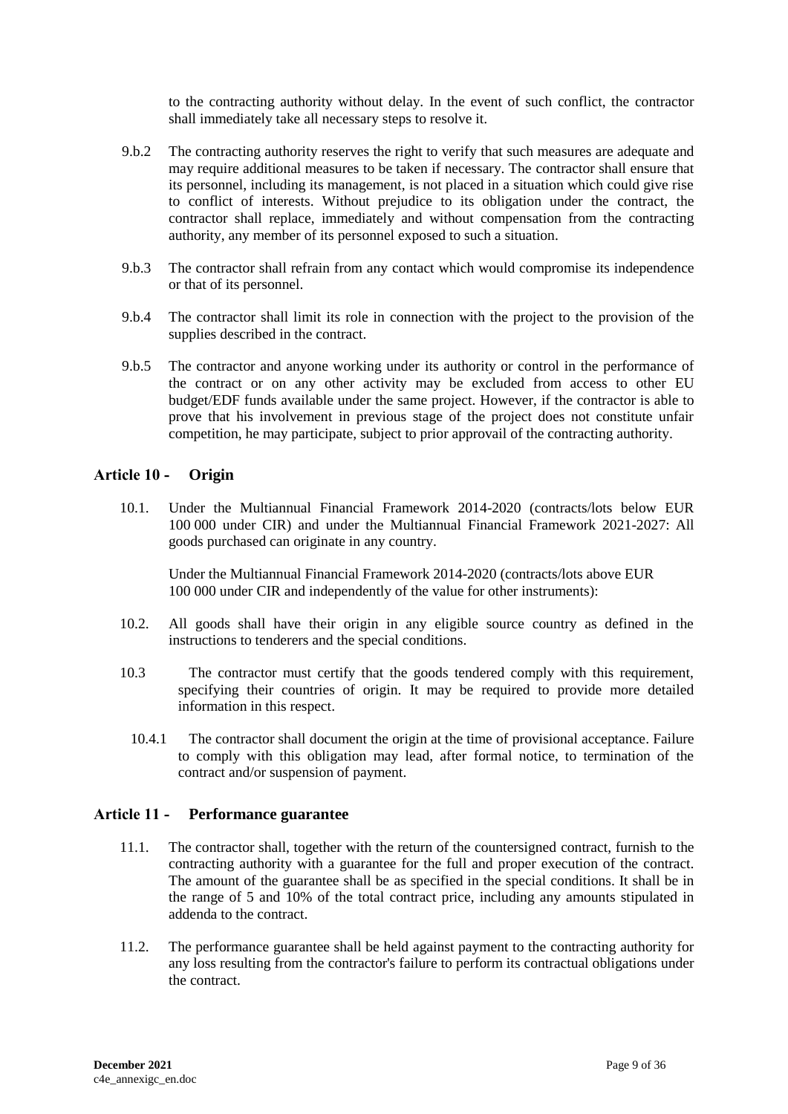to the contracting authority without delay. In the event of such conflict, the contractor shall immediately take all necessary steps to resolve it.

- 9.b.2 The contracting authority reserves the right to verify that such measures are adequate and may require additional measures to be taken if necessary. The contractor shall ensure that its personnel, including its management, is not placed in a situation which could give rise to conflict of interests. Without prejudice to its obligation under the contract, the contractor shall replace, immediately and without compensation from the contracting authority, any member of its personnel exposed to such a situation.
- 9.b.3 The contractor shall refrain from any contact which would compromise its independence or that of its personnel.
- 9.b.4 The contractor shall limit its role in connection with the project to the provision of the supplies described in the contract.
- 9.b.5 The contractor and anyone working under its authority or control in the performance of the contract or on any other activity may be excluded from access to other EU budget/EDF funds available under the same project. However, if the contractor is able to prove that his involvement in previous stage of the project does not constitute unfair competition, he may participate, subject to prior approvail of the contracting authority.

#### <span id="page-8-0"></span>**Article 10 - Origin**

10.1. Under the Multiannual Financial Framework 2014-2020 (contracts/lots below EUR 100 000 under CIR) and under the Multiannual Financial Framework 2021-2027: All goods purchased can originate in any country.

Under the Multiannual Financial Framework 2014-2020 (contracts/lots above EUR 100 000 under CIR and independently of the value for other instruments):

- 10.2. All goods shall have their origin in any eligible source country as defined in the instructions to tenderers and the special conditions.
- 10.3 The contractor must certify that the goods tendered comply with this requirement, specifying their countries of origin. It may be required to provide more detailed information in this respect.
	- 10.4.1 The contractor shall document the origin at the time of provisional acceptance. Failure to comply with this obligation may lead, after formal notice, to termination of the contract and/or suspension of payment.

#### <span id="page-8-1"></span>**Article 11 - Performance guarantee**

- 11.1. The contractor shall, together with the return of the countersigned contract, furnish to the contracting authority with a guarantee for the full and proper execution of the contract. The amount of the guarantee shall be as specified in the special conditions. It shall be in the range of 5 and 10% of the total contract price, including any amounts stipulated in addenda to the contract.
- 11.2. The performance guarantee shall be held against payment to the contracting authority for any loss resulting from the contractor's failure to perform its contractual obligations under the contract.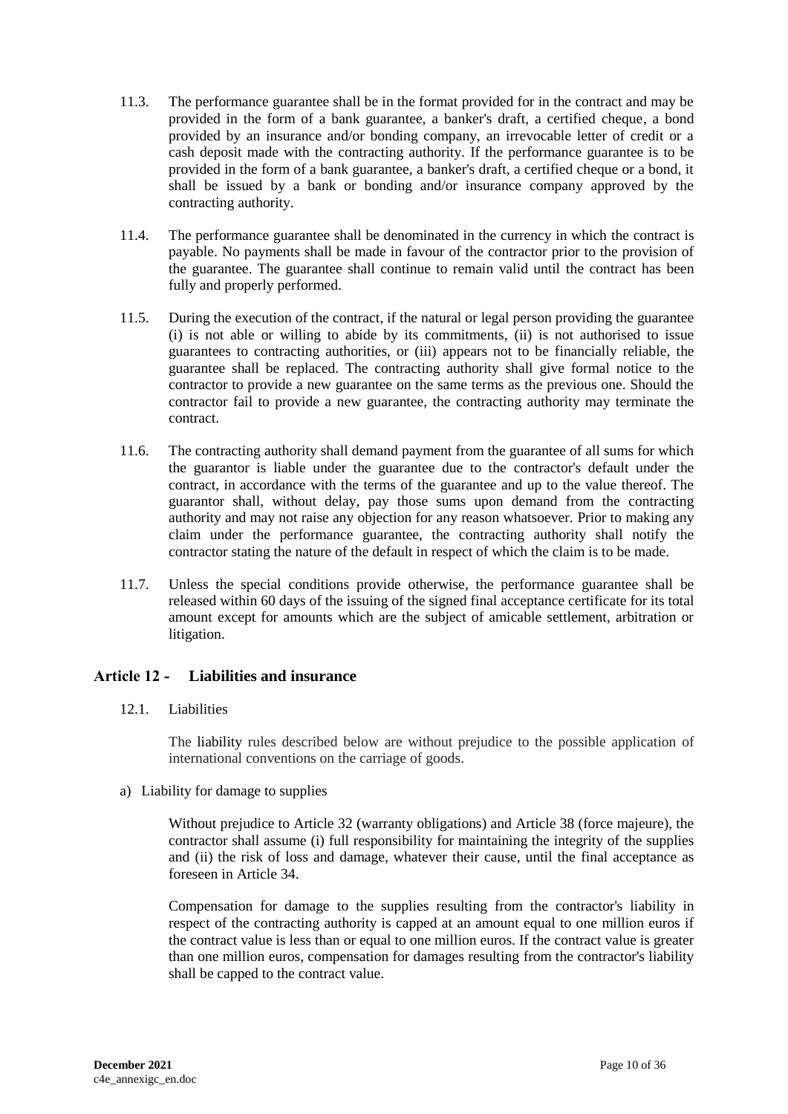- 11.3. The performance guarantee shall be in the format provided for in the contract and may be provided in the form of a bank guarantee, a banker's draft, a certified cheque, a bond provided by an insurance and/or bonding company, an irrevocable letter of credit or a cash deposit made with the contracting authority. If the performance guarantee is to be provided in the form of a bank guarantee, a banker's draft, a certified cheque or a bond, it shall be issued by a bank or bonding and/or insurance company approved by the contracting authority.
- 11.4. The performance guarantee shall be denominated in the currency in which the contract is payable. No payments shall be made in favour of the contractor prior to the provision of the guarantee. The guarantee shall continue to remain valid until the contract has been fully and properly performed.
- 11.5. During the execution of the contract, if the natural or legal person providing the guarantee (i) is not able or willing to abide by its commitments, (ii) is not authorised to issue guarantees to contracting authorities, or (iii) appears not to be financially reliable, the guarantee shall be replaced. The contracting authority shall give formal notice to the contractor to provide a new guarantee on the same terms as the previous one. Should the contractor fail to provide a new guarantee, the contracting authority may terminate the contract.
- 11.6. The contracting authority shall demand payment from the guarantee of all sums for which the guarantor is liable under the guarantee due to the contractor's default under the contract, in accordance with the terms of the guarantee and up to the value thereof. The guarantor shall, without delay, pay those sums upon demand from the contracting authority and may not raise any objection for any reason whatsoever. Prior to making any claim under the performance guarantee, the contracting authority shall notify the contractor stating the nature of the default in respect of which the claim is to be made.
- 11.7. Unless the special conditions provide otherwise, the performance guarantee shall be released within 60 days of the issuing of the signed final acceptance certificate for its total amount except for amounts which are the subject of amicable settlement, arbitration or litigation.

### <span id="page-9-0"></span>**Article 12 - Liabilities and insurance**

12.1. Liabilities

The liability rules described below are without prejudice to the possible application of international conventions on the carriage of goods.

a) Liability for damage to supplies

Without prejudice to Article 32 (warranty obligations) and Article 38 (force majeure), the contractor shall assume (i) full responsibility for maintaining the integrity of the supplies and (ii) the risk of loss and damage, whatever their cause, until the final acceptance as foreseen in Article 34.

Compensation for damage to the supplies resulting from the contractor's liability in respect of the contracting authority is capped at an amount equal to one million euros if the contract value is less than or equal to one million euros. If the contract value is greater than one million euros, compensation for damages resulting from the contractor's liability shall be capped to the contract value.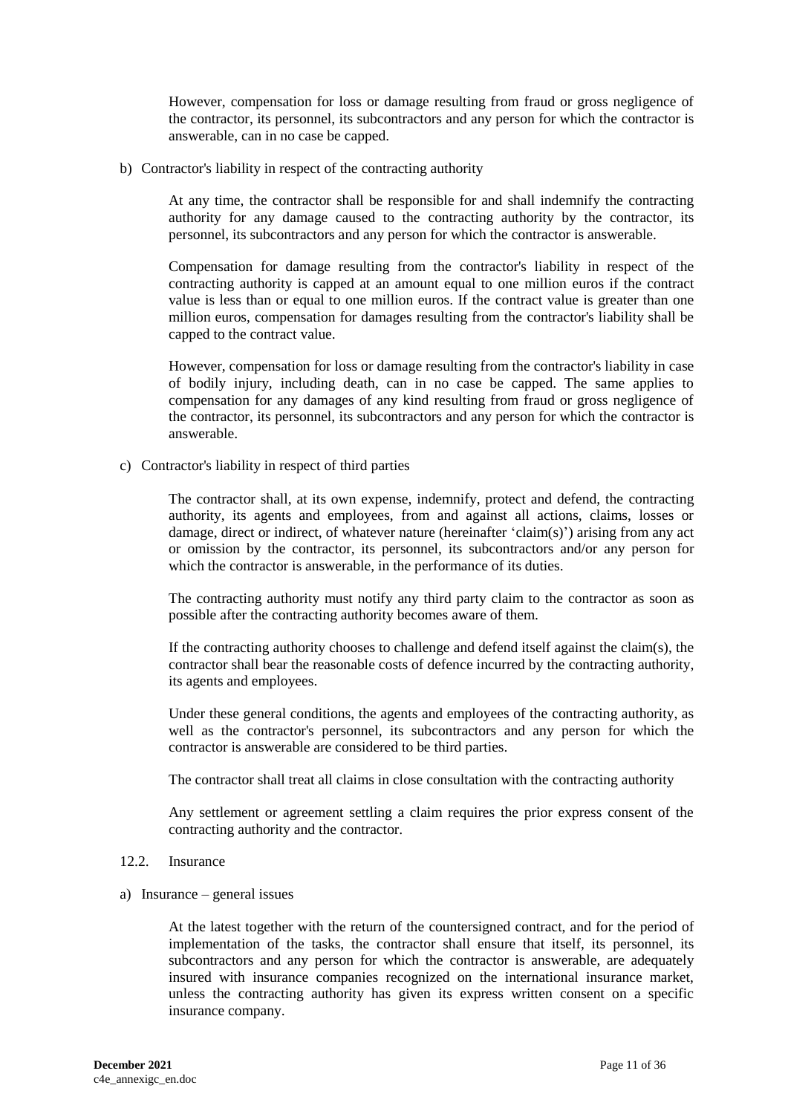However, compensation for loss or damage resulting from fraud or gross negligence of the contractor, its personnel, its subcontractors and any person for which the contractor is answerable, can in no case be capped.

b) Contractor's liability in respect of the contracting authority

At any time, the contractor shall be responsible for and shall indemnify the contracting authority for any damage caused to the contracting authority by the contractor, its personnel, its subcontractors and any person for which the contractor is answerable.

Compensation for damage resulting from the contractor's liability in respect of the contracting authority is capped at an amount equal to one million euros if the contract value is less than or equal to one million euros. If the contract value is greater than one million euros, compensation for damages resulting from the contractor's liability shall be capped to the contract value.

However, compensation for loss or damage resulting from the contractor's liability in case of bodily injury, including death, can in no case be capped. The same applies to compensation for any damages of any kind resulting from fraud or gross negligence of the contractor, its personnel, its subcontractors and any person for which the contractor is answerable.

c) Contractor's liability in respect of third parties

The contractor shall, at its own expense, indemnify, protect and defend, the contracting authority, its agents and employees, from and against all actions, claims, losses or damage, direct or indirect, of whatever nature (hereinafter 'claim(s)') arising from any act or omission by the contractor, its personnel, its subcontractors and/or any person for which the contractor is answerable, in the performance of its duties.

The contracting authority must notify any third party claim to the contractor as soon as possible after the contracting authority becomes aware of them.

If the contracting authority chooses to challenge and defend itself against the claim(s), the contractor shall bear the reasonable costs of defence incurred by the contracting authority, its agents and employees.

Under these general conditions, the agents and employees of the contracting authority, as well as the contractor's personnel, its subcontractors and any person for which the contractor is answerable are considered to be third parties.

The contractor shall treat all claims in close consultation with the contracting authority

Any settlement or agreement settling a claim requires the prior express consent of the contracting authority and the contractor.

- 12.2. Insurance
- a) Insurance general issues

At the latest together with the return of the countersigned contract, and for the period of implementation of the tasks, the contractor shall ensure that itself, its personnel, its subcontractors and any person for which the contractor is answerable, are adequately insured with insurance companies recognized on the international insurance market, unless the contracting authority has given its express written consent on a specific insurance company.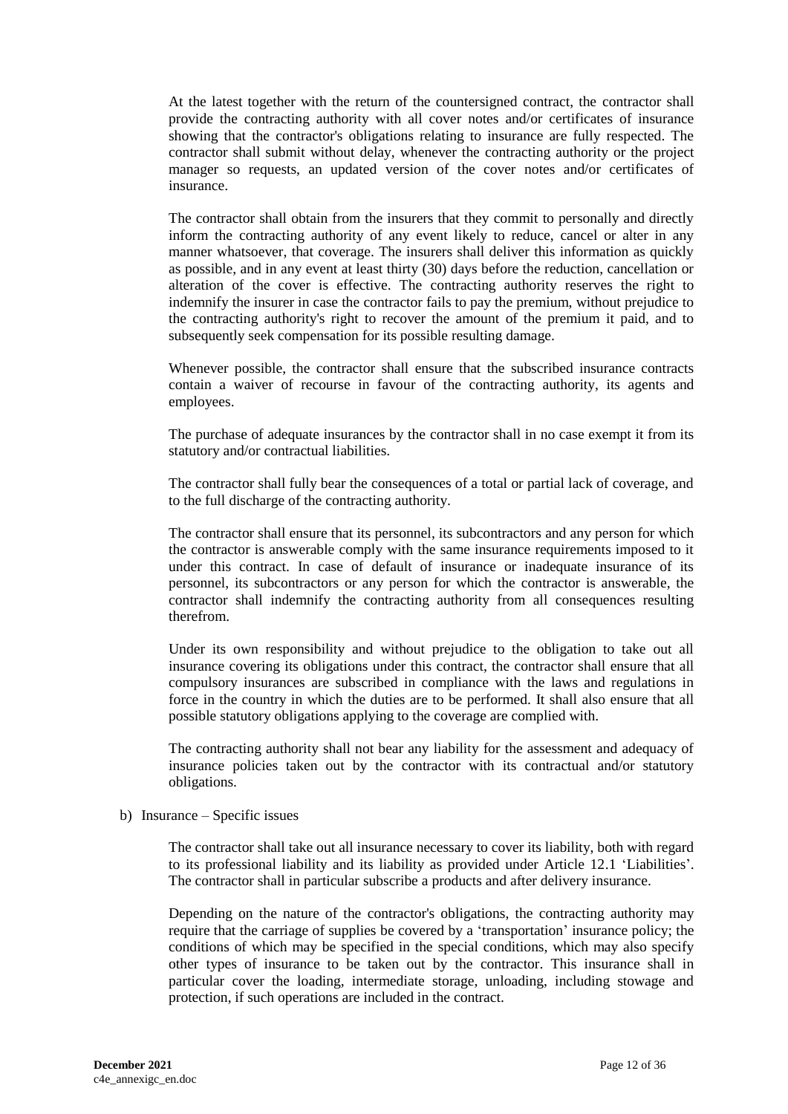At the latest together with the return of the countersigned contract, the contractor shall provide the contracting authority with all cover notes and/or certificates of insurance showing that the contractor's obligations relating to insurance are fully respected. The contractor shall submit without delay, whenever the contracting authority or the project manager so requests, an updated version of the cover notes and/or certificates of insurance.

The contractor shall obtain from the insurers that they commit to personally and directly inform the contracting authority of any event likely to reduce, cancel or alter in any manner whatsoever, that coverage. The insurers shall deliver this information as quickly as possible, and in any event at least thirty (30) days before the reduction, cancellation or alteration of the cover is effective. The contracting authority reserves the right to indemnify the insurer in case the contractor fails to pay the premium, without prejudice to the contracting authority's right to recover the amount of the premium it paid, and to subsequently seek compensation for its possible resulting damage.

Whenever possible, the contractor shall ensure that the subscribed insurance contracts contain a waiver of recourse in favour of the contracting authority, its agents and employees.

The purchase of adequate insurances by the contractor shall in no case exempt it from its statutory and/or contractual liabilities.

The contractor shall fully bear the consequences of a total or partial lack of coverage, and to the full discharge of the contracting authority.

The contractor shall ensure that its personnel, its subcontractors and any person for which the contractor is answerable comply with the same insurance requirements imposed to it under this contract. In case of default of insurance or inadequate insurance of its personnel, its subcontractors or any person for which the contractor is answerable, the contractor shall indemnify the contracting authority from all consequences resulting therefrom.

Under its own responsibility and without prejudice to the obligation to take out all insurance covering its obligations under this contract, the contractor shall ensure that all compulsory insurances are subscribed in compliance with the laws and regulations in force in the country in which the duties are to be performed. It shall also ensure that all possible statutory obligations applying to the coverage are complied with.

The contracting authority shall not bear any liability for the assessment and adequacy of insurance policies taken out by the contractor with its contractual and/or statutory obligations.

b) Insurance – Specific issues

The contractor shall take out all insurance necessary to cover its liability, both with regard to its professional liability and its liability as provided under Article 12.1 'Liabilities'. The contractor shall in particular subscribe a products and after delivery insurance.

Depending on the nature of the contractor's obligations, the contracting authority may require that the carriage of supplies be covered by a 'transportation' insurance policy; the conditions of which may be specified in the special conditions, which may also specify other types of insurance to be taken out by the contractor. This insurance shall in particular cover the loading, intermediate storage, unloading, including stowage and protection, if such operations are included in the contract.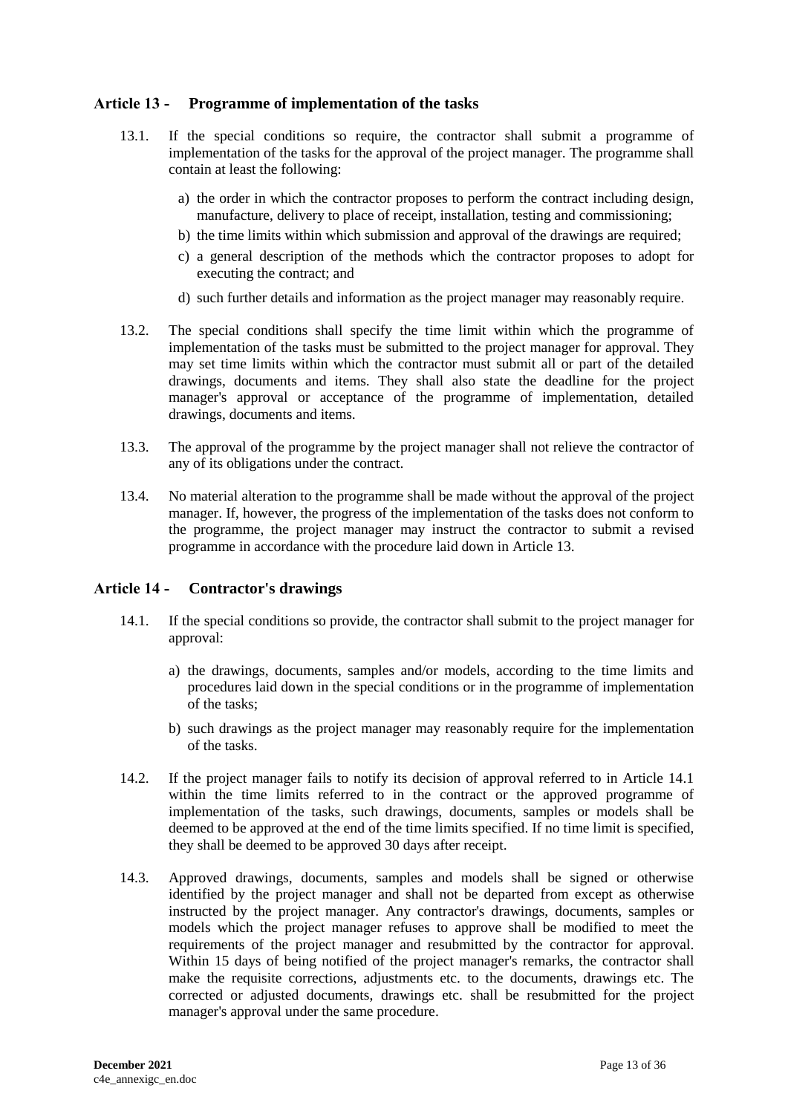## <span id="page-12-0"></span>**Article 13 - Programme of implementation of the tasks**

- 13.1. If the special conditions so require, the contractor shall submit a programme of implementation of the tasks for the approval of the project manager. The programme shall contain at least the following:
	- a) the order in which the contractor proposes to perform the contract including design, manufacture, delivery to place of receipt, installation, testing and commissioning;
	- b) the time limits within which submission and approval of the drawings are required;
	- c) a general description of the methods which the contractor proposes to adopt for executing the contract; and
	- d) such further details and information as the project manager may reasonably require.
- 13.2. The special conditions shall specify the time limit within which the programme of implementation of the tasks must be submitted to the project manager for approval. They may set time limits within which the contractor must submit all or part of the detailed drawings, documents and items. They shall also state the deadline for the project manager's approval or acceptance of the programme of implementation, detailed drawings, documents and items.
- 13.3. The approval of the programme by the project manager shall not relieve the contractor of any of its obligations under the contract.
- 13.4. No material alteration to the programme shall be made without the approval of the project manager. If, however, the progress of the implementation of the tasks does not conform to the programme, the project manager may instruct the contractor to submit a revised programme in accordance with the procedure laid down in Article 13.

### <span id="page-12-1"></span>**Article 14 - Contractor's drawings**

- 14.1. If the special conditions so provide, the contractor shall submit to the project manager for approval:
	- a) the drawings, documents, samples and/or models, according to the time limits and procedures laid down in the special conditions or in the programme of implementation of the tasks;
	- b) such drawings as the project manager may reasonably require for the implementation of the tasks.
- 14.2. If the project manager fails to notify its decision of approval referred to in Article 14.1 within the time limits referred to in the contract or the approved programme of implementation of the tasks, such drawings, documents, samples or models shall be deemed to be approved at the end of the time limits specified. If no time limit is specified, they shall be deemed to be approved 30 days after receipt.
- 14.3. Approved drawings, documents, samples and models shall be signed or otherwise identified by the project manager and shall not be departed from except as otherwise instructed by the project manager. Any contractor's drawings, documents, samples or models which the project manager refuses to approve shall be modified to meet the requirements of the project manager and resubmitted by the contractor for approval. Within 15 days of being notified of the project manager's remarks, the contractor shall make the requisite corrections, adjustments etc. to the documents, drawings etc. The corrected or adjusted documents, drawings etc. shall be resubmitted for the project manager's approval under the same procedure.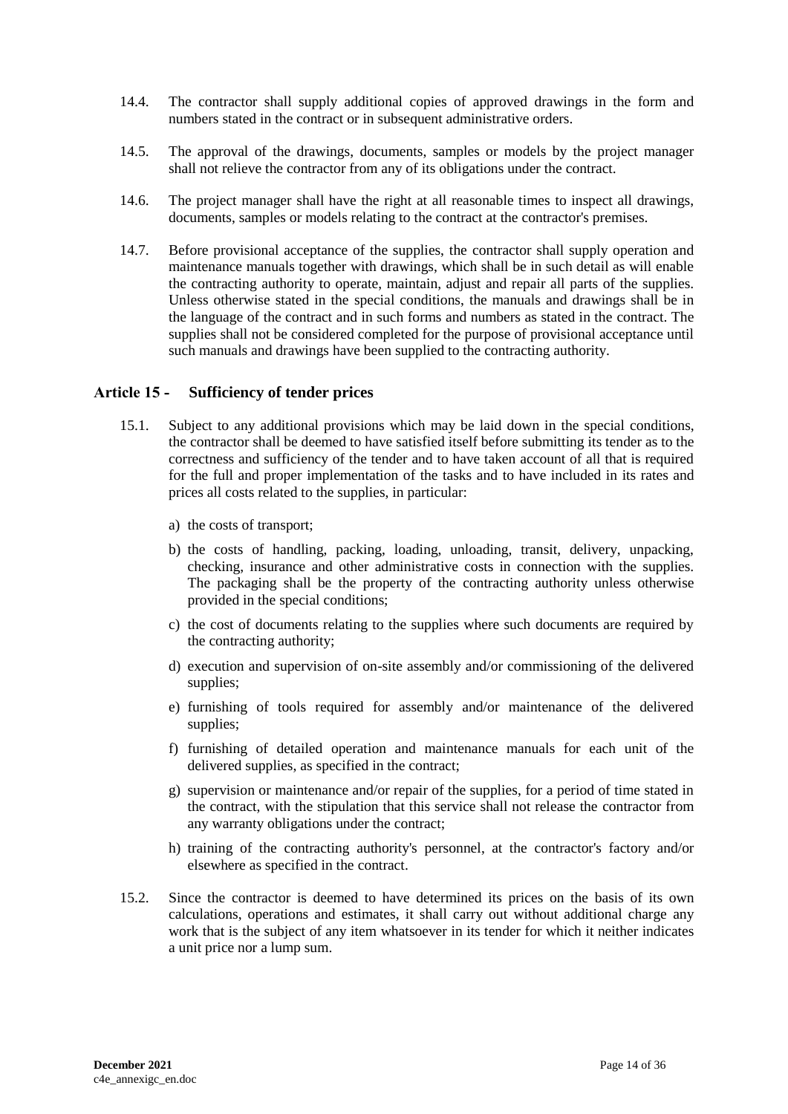- 14.4. The contractor shall supply additional copies of approved drawings in the form and numbers stated in the contract or in subsequent administrative orders.
- 14.5. The approval of the drawings, documents, samples or models by the project manager shall not relieve the contractor from any of its obligations under the contract.
- 14.6. The project manager shall have the right at all reasonable times to inspect all drawings, documents, samples or models relating to the contract at the contractor's premises.
- 14.7. Before provisional acceptance of the supplies, the contractor shall supply operation and maintenance manuals together with drawings, which shall be in such detail as will enable the contracting authority to operate, maintain, adjust and repair all parts of the supplies. Unless otherwise stated in the special conditions, the manuals and drawings shall be in the language of the contract and in such forms and numbers as stated in the contract. The supplies shall not be considered completed for the purpose of provisional acceptance until such manuals and drawings have been supplied to the contracting authority.

#### <span id="page-13-0"></span>**Article 15 - Sufficiency of tender prices**

- 15.1. Subject to any additional provisions which may be laid down in the special conditions, the contractor shall be deemed to have satisfied itself before submitting its tender as to the correctness and sufficiency of the tender and to have taken account of all that is required for the full and proper implementation of the tasks and to have included in its rates and prices all costs related to the supplies, in particular:
	- a) the costs of transport;
	- b) the costs of handling, packing, loading, unloading, transit, delivery, unpacking, checking, insurance and other administrative costs in connection with the supplies. The packaging shall be the property of the contracting authority unless otherwise provided in the special conditions;
	- c) the cost of documents relating to the supplies where such documents are required by the contracting authority;
	- d) execution and supervision of on-site assembly and/or commissioning of the delivered supplies;
	- e) furnishing of tools required for assembly and/or maintenance of the delivered supplies;
	- f) furnishing of detailed operation and maintenance manuals for each unit of the delivered supplies, as specified in the contract;
	- g) supervision or maintenance and/or repair of the supplies, for a period of time stated in the contract, with the stipulation that this service shall not release the contractor from any warranty obligations under the contract;
	- h) training of the contracting authority's personnel, at the contractor's factory and/or elsewhere as specified in the contract.
- 15.2. Since the contractor is deemed to have determined its prices on the basis of its own calculations, operations and estimates, it shall carry out without additional charge any work that is the subject of any item whatsoever in its tender for which it neither indicates a unit price nor a lump sum.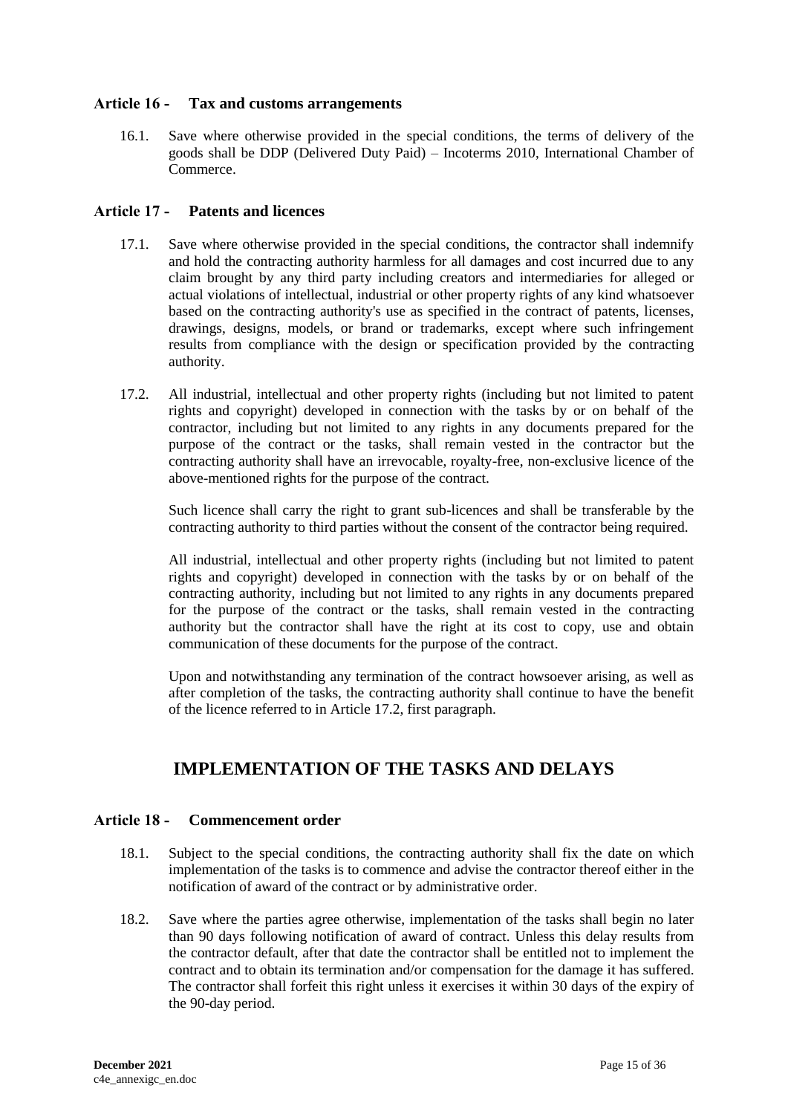### <span id="page-14-0"></span>**Article 16 - Tax and customs arrangements**

16.1. Save where otherwise provided in the special conditions, the terms of delivery of the goods shall be DDP (Delivered Duty Paid) – Incoterms 2010, International Chamber of Commerce.

## <span id="page-14-1"></span>**Article 17 - Patents and licences**

- 17.1. Save where otherwise provided in the special conditions, the contractor shall indemnify and hold the contracting authority harmless for all damages and cost incurred due to any claim brought by any third party including creators and intermediaries for alleged or actual violations of intellectual, industrial or other property rights of any kind whatsoever based on the contracting authority's use as specified in the contract of patents, licenses, drawings, designs, models, or brand or trademarks, except where such infringement results from compliance with the design or specification provided by the contracting authority.
- 17.2. All industrial, intellectual and other property rights (including but not limited to patent rights and copyright) developed in connection with the tasks by or on behalf of the contractor, including but not limited to any rights in any documents prepared for the purpose of the contract or the tasks, shall remain vested in the contractor but the contracting authority shall have an irrevocable, royalty-free, non-exclusive licence of the above-mentioned rights for the purpose of the contract.

Such licence shall carry the right to grant sub-licences and shall be transferable by the contracting authority to third parties without the consent of the contractor being required.

All industrial, intellectual and other property rights (including but not limited to patent rights and copyright) developed in connection with the tasks by or on behalf of the contracting authority, including but not limited to any rights in any documents prepared for the purpose of the contract or the tasks, shall remain vested in the contracting authority but the contractor shall have the right at its cost to copy, use and obtain communication of these documents for the purpose of the contract.

Upon and notwithstanding any termination of the contract howsoever arising, as well as after completion of the tasks, the contracting authority shall continue to have the benefit of the licence referred to in Article 17.2, first paragraph.

# **IMPLEMENTATION OF THE TASKS AND DELAYS**

### <span id="page-14-3"></span><span id="page-14-2"></span>**Article 18 - Commencement order**

- 18.1. Subject to the special conditions, the contracting authority shall fix the date on which implementation of the tasks is to commence and advise the contractor thereof either in the notification of award of the contract or by administrative order.
- 18.2. Save where the parties agree otherwise, implementation of the tasks shall begin no later than 90 days following notification of award of contract. Unless this delay results from the contractor default, after that date the contractor shall be entitled not to implement the contract and to obtain its termination and/or compensation for the damage it has suffered. The contractor shall forfeit this right unless it exercises it within 30 days of the expiry of the 90-day period.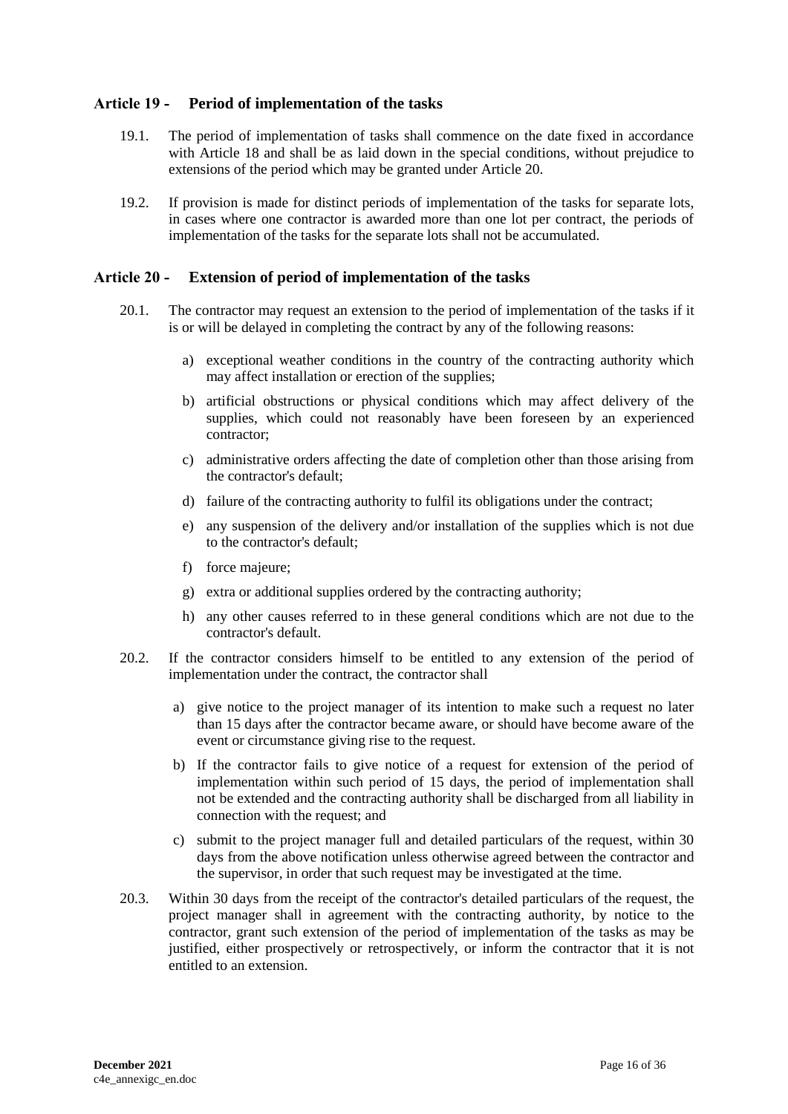### <span id="page-15-0"></span>**Article 19 - Period of implementation of the tasks**

- 19.1. The period of implementation of tasks shall commence on the date fixed in accordance with Article 18 and shall be as laid down in the special conditions, without prejudice to extensions of the period which may be granted under Article 20.
- 19.2. If provision is made for distinct periods of implementation of the tasks for separate lots, in cases where one contractor is awarded more than one lot per contract, the periods of implementation of the tasks for the separate lots shall not be accumulated.

#### <span id="page-15-1"></span>**Article 20 - Extension of period of implementation of the tasks**

- 20.1. The contractor may request an extension to the period of implementation of the tasks if it is or will be delayed in completing the contract by any of the following reasons:
	- a) exceptional weather conditions in the country of the contracting authority which may affect installation or erection of the supplies;
	- b) artificial obstructions or physical conditions which may affect delivery of the supplies, which could not reasonably have been foreseen by an experienced contractor;
	- c) administrative orders affecting the date of completion other than those arising from the contractor's default;
	- d) failure of the contracting authority to fulfil its obligations under the contract;
	- e) any suspension of the delivery and/or installation of the supplies which is not due to the contractor's default;
	- f) force majeure;
	- g) extra or additional supplies ordered by the contracting authority;
	- h) any other causes referred to in these general conditions which are not due to the contractor's default.
- 20.2. If the contractor considers himself to be entitled to any extension of the period of implementation under the contract, the contractor shall
	- a) give notice to the project manager of its intention to make such a request no later than 15 days after the contractor became aware, or should have become aware of the event or circumstance giving rise to the request.
	- b) If the contractor fails to give notice of a request for extension of the period of implementation within such period of 15 days, the period of implementation shall not be extended and the contracting authority shall be discharged from all liability in connection with the request; and
	- c) submit to the project manager full and detailed particulars of the request, within 30 days from the above notification unless otherwise agreed between the contractor and the supervisor, in order that such request may be investigated at the time.
- 20.3. Within 30 days from the receipt of the contractor's detailed particulars of the request, the project manager shall in agreement with the contracting authority, by notice to the contractor, grant such extension of the period of implementation of the tasks as may be justified, either prospectively or retrospectively, or inform the contractor that it is not entitled to an extension.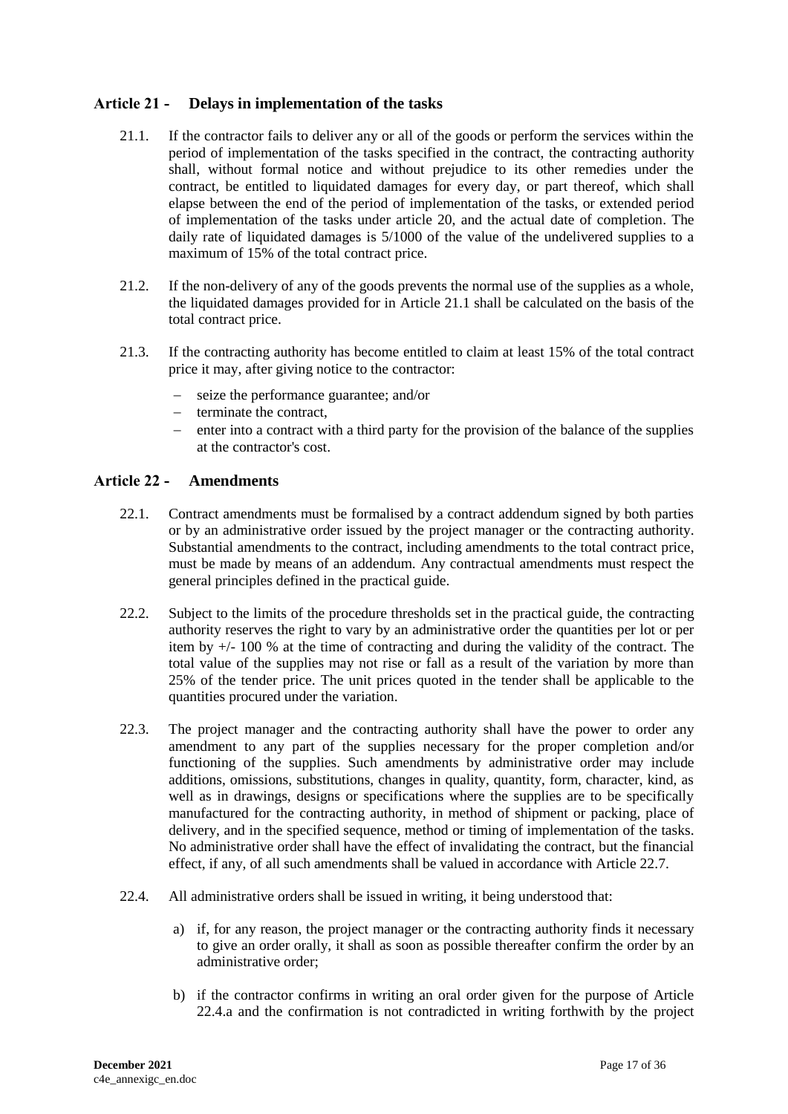## <span id="page-16-0"></span>**Article 21 - Delays in implementation of the tasks**

- 21.1. If the contractor fails to deliver any or all of the goods or perform the services within the period of implementation of the tasks specified in the contract, the contracting authority shall, without formal notice and without prejudice to its other remedies under the contract, be entitled to liquidated damages for every day, or part thereof, which shall elapse between the end of the period of implementation of the tasks, or extended period of implementation of the tasks under article 20, and the actual date of completion. The daily rate of liquidated damages is  $5/1000$  of the value of the undelivered supplies to a maximum of 15% of the total contract price.
- 21.2. If the non-delivery of any of the goods prevents the normal use of the supplies as a whole, the liquidated damages provided for in Article 21.1 shall be calculated on the basis of the total contract price.
- 21.3. If the contracting authority has become entitled to claim at least 15% of the total contract price it may, after giving notice to the contractor:
	- seize the performance guarantee; and/or
	- $-$  terminate the contract,
	- enter into a contract with a third party for the provision of the balance of the supplies at the contractor's cost.

#### <span id="page-16-1"></span>**Article 22 - Amendments**

- 22.1. Contract amendments must be formalised by a contract addendum signed by both parties or by an administrative order issued by the project manager or the contracting authority. Substantial amendments to the contract, including amendments to the total contract price, must be made by means of an addendum. Any contractual amendments must respect the general principles defined in the practical guide.
- 22.2. Subject to the limits of the procedure thresholds set in the practical guide, the contracting authority reserves the right to vary by an administrative order the quantities per lot or per item by  $+/-100\%$  at the time of contracting and during the validity of the contract. The total value of the supplies may not rise or fall as a result of the variation by more than 25% of the tender price. The unit prices quoted in the tender shall be applicable to the quantities procured under the variation.
- 22.3. The project manager and the contracting authority shall have the power to order any amendment to any part of the supplies necessary for the proper completion and/or functioning of the supplies. Such amendments by administrative order may include additions, omissions, substitutions, changes in quality, quantity, form, character, kind, as well as in drawings, designs or specifications where the supplies are to be specifically manufactured for the contracting authority, in method of shipment or packing, place of delivery, and in the specified sequence, method or timing of implementation of the tasks. No administrative order shall have the effect of invalidating the contract, but the financial effect, if any, of all such amendments shall be valued in accordance with Article 22.7.
- 22.4. All administrative orders shall be issued in writing, it being understood that:
	- a) if, for any reason, the project manager or the contracting authority finds it necessary to give an order orally, it shall as soon as possible thereafter confirm the order by an administrative order;
	- b) if the contractor confirms in writing an oral order given for the purpose of Article 22.4.a and the confirmation is not contradicted in writing forthwith by the project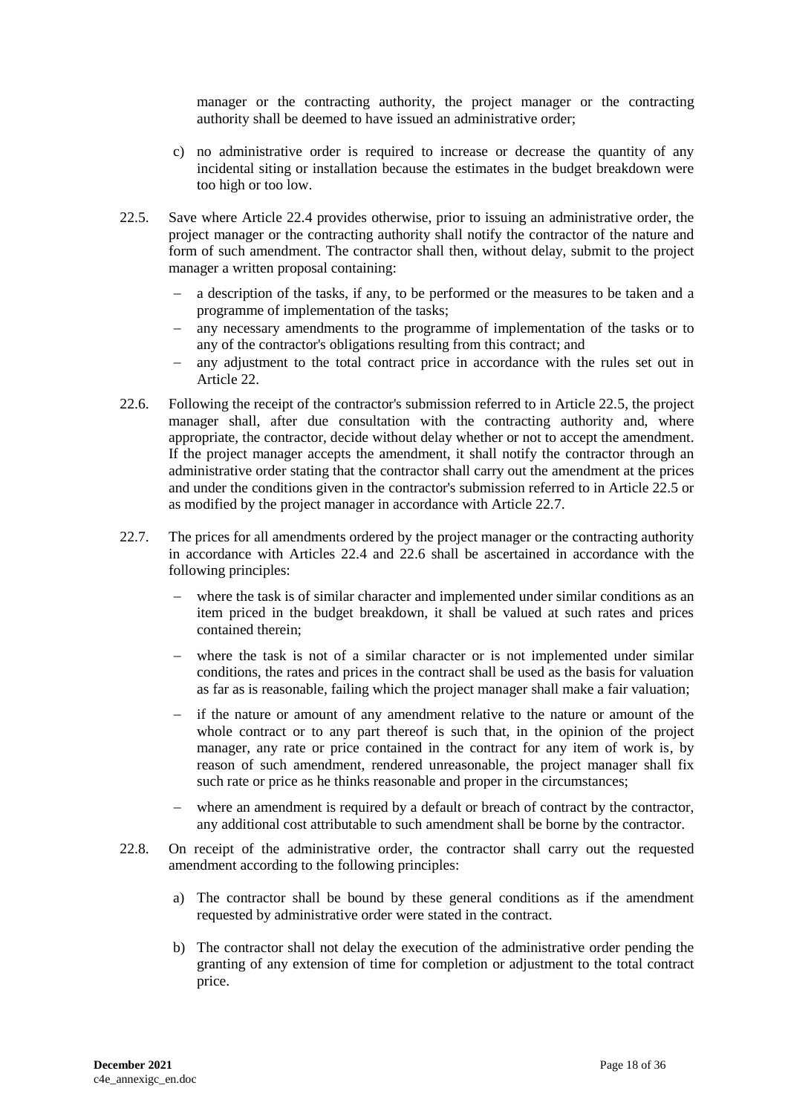manager or the contracting authority, the project manager or the contracting authority shall be deemed to have issued an administrative order;

- c) no administrative order is required to increase or decrease the quantity of any incidental siting or installation because the estimates in the budget breakdown were too high or too low.
- 22.5. Save where Article 22.4 provides otherwise, prior to issuing an administrative order, the project manager or the contracting authority shall notify the contractor of the nature and form of such amendment. The contractor shall then, without delay, submit to the project manager a written proposal containing:
	- a description of the tasks, if any, to be performed or the measures to be taken and a programme of implementation of the tasks;
	- any necessary amendments to the programme of implementation of the tasks or to any of the contractor's obligations resulting from this contract; and
	- any adjustment to the total contract price in accordance with the rules set out in Article 22.
- 22.6. Following the receipt of the contractor's submission referred to in Article 22.5, the project manager shall, after due consultation with the contracting authority and, where appropriate, the contractor, decide without delay whether or not to accept the amendment. If the project manager accepts the amendment, it shall notify the contractor through an administrative order stating that the contractor shall carry out the amendment at the prices and under the conditions given in the contractor's submission referred to in Article 22.5 or as modified by the project manager in accordance with Article 22.7.
- 22.7. The prices for all amendments ordered by the project manager or the contracting authority in accordance with Articles 22.4 and 22.6 shall be ascertained in accordance with the following principles:
	- where the task is of similar character and implemented under similar conditions as an item priced in the budget breakdown, it shall be valued at such rates and prices contained therein;
	- where the task is not of a similar character or is not implemented under similar conditions, the rates and prices in the contract shall be used as the basis for valuation as far as is reasonable, failing which the project manager shall make a fair valuation;
	- if the nature or amount of any amendment relative to the nature or amount of the whole contract or to any part thereof is such that, in the opinion of the project manager, any rate or price contained in the contract for any item of work is, by reason of such amendment, rendered unreasonable, the project manager shall fix such rate or price as he thinks reasonable and proper in the circumstances;
	- where an amendment is required by a default or breach of contract by the contractor, any additional cost attributable to such amendment shall be borne by the contractor.
- 22.8. On receipt of the administrative order, the contractor shall carry out the requested amendment according to the following principles:
	- a) The contractor shall be bound by these general conditions as if the amendment requested by administrative order were stated in the contract.
	- b) The contractor shall not delay the execution of the administrative order pending the granting of any extension of time for completion or adjustment to the total contract price.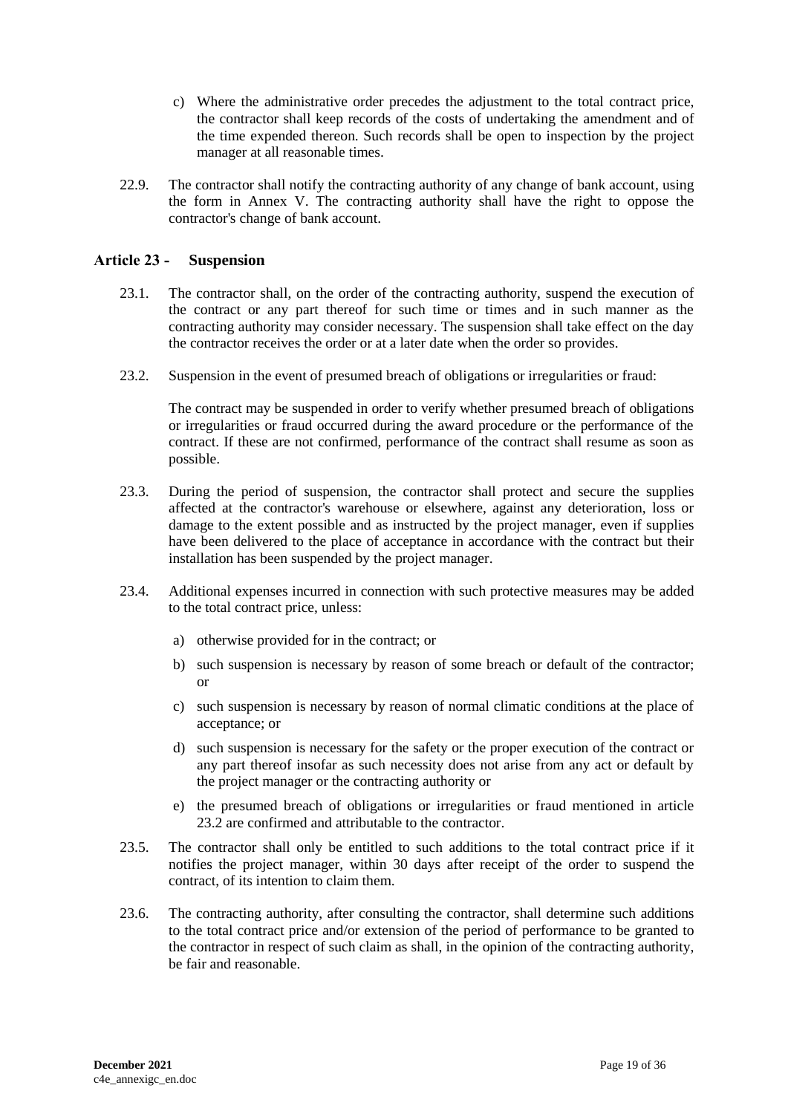- c) Where the administrative order precedes the adjustment to the total contract price, the contractor shall keep records of the costs of undertaking the amendment and of the time expended thereon. Such records shall be open to inspection by the project manager at all reasonable times.
- 22.9. The contractor shall notify the contracting authority of any change of bank account, using the form in Annex V. The contracting authority shall have the right to oppose the contractor's change of bank account.

#### <span id="page-18-0"></span>**Article 23 - Suspension**

- 23.1. The contractor shall, on the order of the contracting authority, suspend the execution of the contract or any part thereof for such time or times and in such manner as the contracting authority may consider necessary. The suspension shall take effect on the day the contractor receives the order or at a later date when the order so provides.
- 23.2. Suspension in the event of presumed breach of obligations or irregularities or fraud:

The contract may be suspended in order to verify whether presumed breach of obligations or irregularities or fraud occurred during the award procedure or the performance of the contract. If these are not confirmed, performance of the contract shall resume as soon as possible.

- 23.3. During the period of suspension, the contractor shall protect and secure the supplies affected at the contractor's warehouse or elsewhere, against any deterioration, loss or damage to the extent possible and as instructed by the project manager, even if supplies have been delivered to the place of acceptance in accordance with the contract but their installation has been suspended by the project manager.
- 23.4. Additional expenses incurred in connection with such protective measures may be added to the total contract price, unless:
	- a) otherwise provided for in the contract; or
	- b) such suspension is necessary by reason of some breach or default of the contractor; or
	- c) such suspension is necessary by reason of normal climatic conditions at the place of acceptance; or
	- d) such suspension is necessary for the safety or the proper execution of the contract or any part thereof insofar as such necessity does not arise from any act or default by the project manager or the contracting authority or
	- e) the presumed breach of obligations or irregularities or fraud mentioned in article 23.2 are confirmed and attributable to the contractor.
- 23.5. The contractor shall only be entitled to such additions to the total contract price if it notifies the project manager, within 30 days after receipt of the order to suspend the contract, of its intention to claim them.
- 23.6. The contracting authority, after consulting the contractor, shall determine such additions to the total contract price and/or extension of the period of performance to be granted to the contractor in respect of such claim as shall, in the opinion of the contracting authority, be fair and reasonable.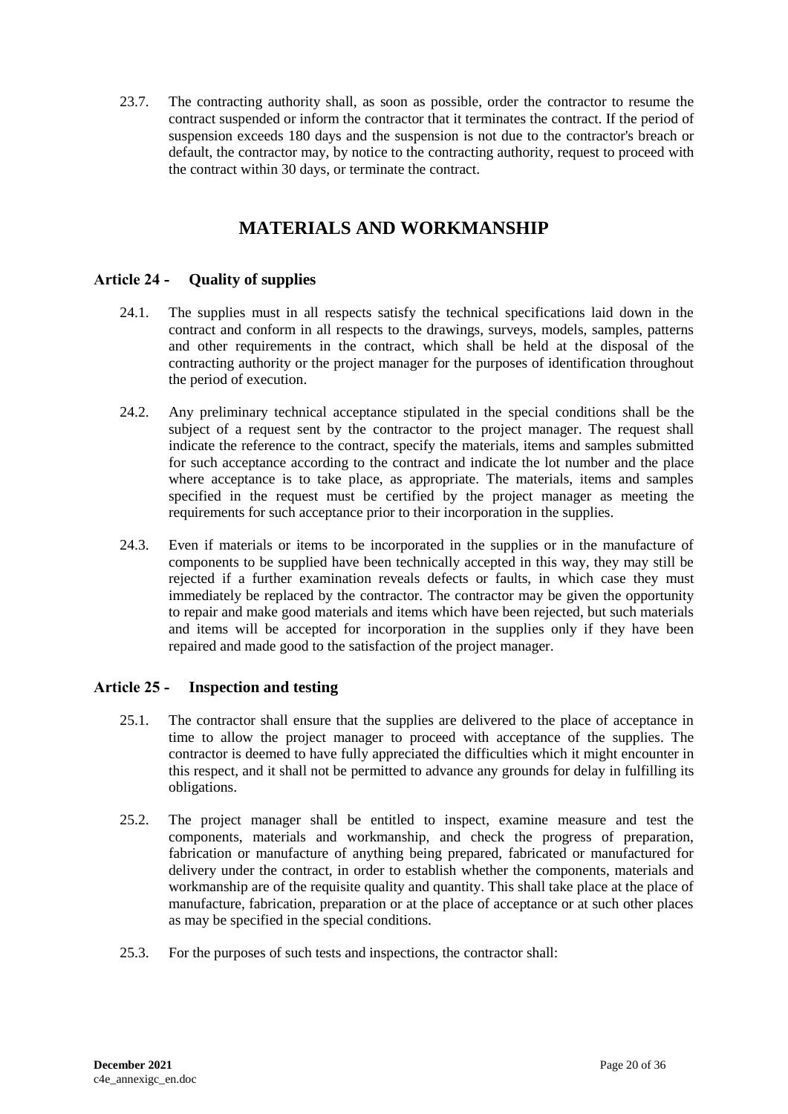23.7. The contracting authority shall, as soon as possible, order the contractor to resume the contract suspended or inform the contractor that it terminates the contract. If the period of suspension exceeds 180 days and the suspension is not due to the contractor's breach or default, the contractor may, by notice to the contracting authority, request to proceed with the contract within 30 days, or terminate the contract.

# **MATERIALS AND WORKMANSHIP**

## <span id="page-19-1"></span><span id="page-19-0"></span>**Article 24 - Quality of supplies**

- 24.1. The supplies must in all respects satisfy the technical specifications laid down in the contract and conform in all respects to the drawings, surveys, models, samples, patterns and other requirements in the contract, which shall be held at the disposal of the contracting authority or the project manager for the purposes of identification throughout the period of execution.
- 24.2. Any preliminary technical acceptance stipulated in the special conditions shall be the subject of a request sent by the contractor to the project manager. The request shall indicate the reference to the contract, specify the materials, items and samples submitted for such acceptance according to the contract and indicate the lot number and the place where acceptance is to take place, as appropriate. The materials, items and samples specified in the request must be certified by the project manager as meeting the requirements for such acceptance prior to their incorporation in the supplies.
- 24.3. Even if materials or items to be incorporated in the supplies or in the manufacture of components to be supplied have been technically accepted in this way, they may still be rejected if a further examination reveals defects or faults, in which case they must immediately be replaced by the contractor. The contractor may be given the opportunity to repair and make good materials and items which have been rejected, but such materials and items will be accepted for incorporation in the supplies only if they have been repaired and made good to the satisfaction of the project manager.

### <span id="page-19-2"></span>**Article 25 - Inspection and testing**

- 25.1. The contractor shall ensure that the supplies are delivered to the place of acceptance in time to allow the project manager to proceed with acceptance of the supplies. The contractor is deemed to have fully appreciated the difficulties which it might encounter in this respect, and it shall not be permitted to advance any grounds for delay in fulfilling its obligations.
- 25.2. The project manager shall be entitled to inspect, examine measure and test the components, materials and workmanship, and check the progress of preparation, fabrication or manufacture of anything being prepared, fabricated or manufactured for delivery under the contract, in order to establish whether the components, materials and workmanship are of the requisite quality and quantity. This shall take place at the place of manufacture, fabrication, preparation or at the place of acceptance or at such other places as may be specified in the special conditions.
- 25.3. For the purposes of such tests and inspections, the contractor shall: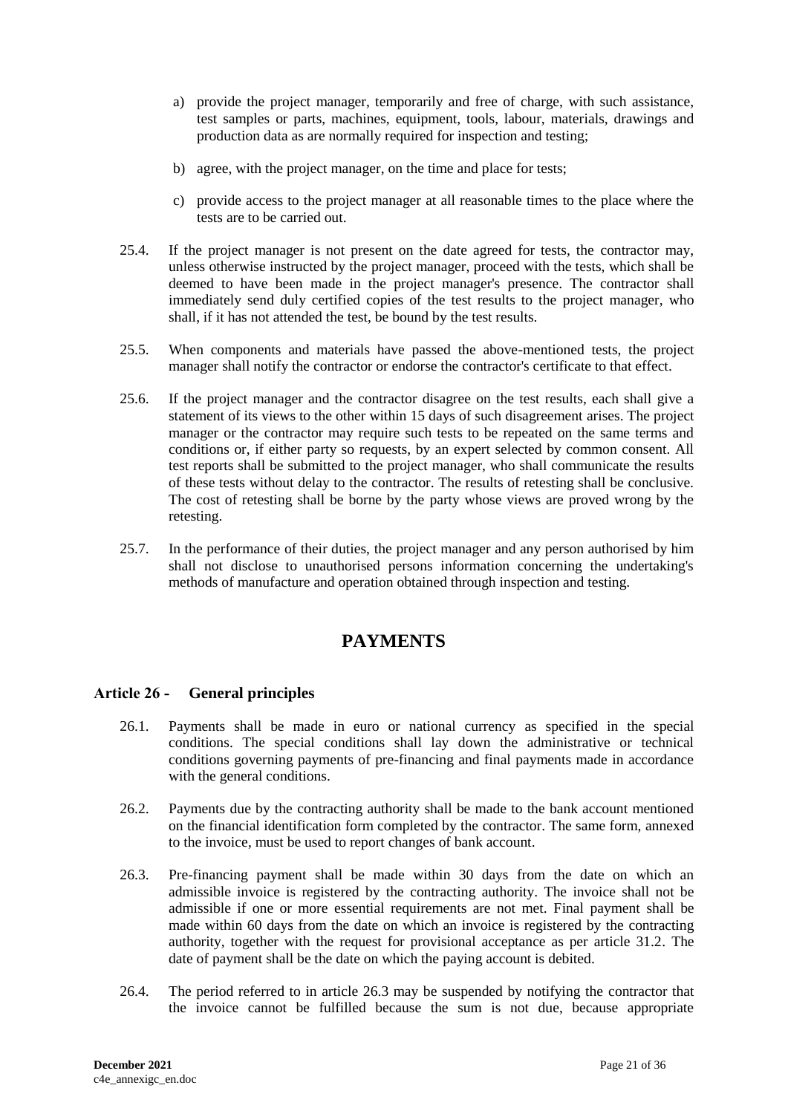- a) provide the project manager, temporarily and free of charge, with such assistance, test samples or parts, machines, equipment, tools, labour, materials, drawings and production data as are normally required for inspection and testing;
- b) agree, with the project manager, on the time and place for tests;
- c) provide access to the project manager at all reasonable times to the place where the tests are to be carried out.
- 25.4. If the project manager is not present on the date agreed for tests, the contractor may, unless otherwise instructed by the project manager, proceed with the tests, which shall be deemed to have been made in the project manager's presence. The contractor shall immediately send duly certified copies of the test results to the project manager, who shall, if it has not attended the test, be bound by the test results.
- 25.5. When components and materials have passed the above-mentioned tests, the project manager shall notify the contractor or endorse the contractor's certificate to that effect.
- 25.6. If the project manager and the contractor disagree on the test results, each shall give a statement of its views to the other within 15 days of such disagreement arises. The project manager or the contractor may require such tests to be repeated on the same terms and conditions or, if either party so requests, by an expert selected by common consent. All test reports shall be submitted to the project manager, who shall communicate the results of these tests without delay to the contractor. The results of retesting shall be conclusive. The cost of retesting shall be borne by the party whose views are proved wrong by the retesting.
- <span id="page-20-0"></span>25.7. In the performance of their duties, the project manager and any person authorised by him shall not disclose to unauthorised persons information concerning the undertaking's methods of manufacture and operation obtained through inspection and testing.

## **PAYMENTS**

### <span id="page-20-1"></span>**Article 26 - General principles**

- 26.1. Payments shall be made in euro or national currency as specified in the special conditions. The special conditions shall lay down the administrative or technical conditions governing payments of pre-financing and final payments made in accordance with the general conditions.
- 26.2. Payments due by the contracting authority shall be made to the bank account mentioned on the financial identification form completed by the contractor. The same form, annexed to the invoice, must be used to report changes of bank account.
- 26.3. Pre-financing payment shall be made within 30 days from the date on which an admissible invoice is registered by the contracting authority. The invoice shall not be admissible if one or more essential requirements are not met. Final payment shall be made within 60 days from the date on which an invoice is registered by the contracting authority, together with the request for provisional acceptance as per article 31.2. The date of payment shall be the date on which the paying account is debited.
- 26.4. The period referred to in article 26.3 may be suspended by notifying the contractor that the invoice cannot be fulfilled because the sum is not due, because appropriate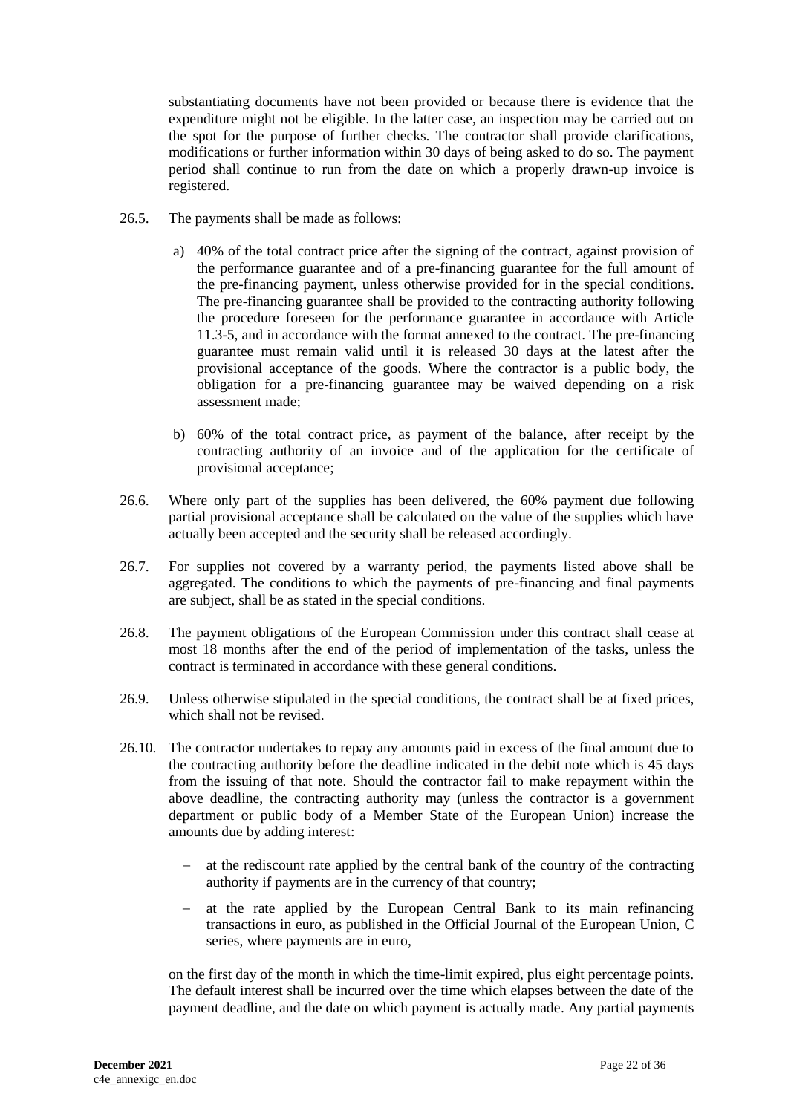substantiating documents have not been provided or because there is evidence that the expenditure might not be eligible. In the latter case, an inspection may be carried out on the spot for the purpose of further checks. The contractor shall provide clarifications, modifications or further information within 30 days of being asked to do so. The payment period shall continue to run from the date on which a properly drawn-up invoice is registered.

- 26.5. The payments shall be made as follows:
	- a) 40% of the total contract price after the signing of the contract, against provision of the performance guarantee and of a pre-financing guarantee for the full amount of the pre-financing payment, unless otherwise provided for in the special conditions. The pre-financing guarantee shall be provided to the contracting authority following the procedure foreseen for the performance guarantee in accordance with Article 11.3-5, and in accordance with the format annexed to the contract. The pre-financing guarantee must remain valid until it is released 30 days at the latest after the provisional acceptance of the goods. Where the contractor is a public body, the obligation for a pre-financing guarantee may be waived depending on a risk assessment made;
	- b) 60% of the total contract price, as payment of the balance, after receipt by the contracting authority of an invoice and of the application for the certificate of provisional acceptance;
- 26.6. Where only part of the supplies has been delivered, the 60% payment due following partial provisional acceptance shall be calculated on the value of the supplies which have actually been accepted and the security shall be released accordingly.
- 26.7. For supplies not covered by a warranty period, the payments listed above shall be aggregated. The conditions to which the payments of pre-financing and final payments are subject, shall be as stated in the special conditions.
- 26.8. The payment obligations of the European Commission under this contract shall cease at most 18 months after the end of the period of implementation of the tasks, unless the contract is terminated in accordance with these general conditions.
- 26.9. Unless otherwise stipulated in the special conditions, the contract shall be at fixed prices, which shall not be revised.
- 26.10. The contractor undertakes to repay any amounts paid in excess of the final amount due to the contracting authority before the deadline indicated in the debit note which is 45 days from the issuing of that note. Should the contractor fail to make repayment within the above deadline, the contracting authority may (unless the contractor is a government department or public body of a Member State of the European Union) increase the amounts due by adding interest:
	- $\alpha$  at the rediscount rate applied by the central bank of the country of the contracting authority if payments are in the currency of that country;
	- at the rate applied by the European Central Bank to its main refinancing transactions in euro, as published in the Official Journal of the European Union, C series, where payments are in euro,

on the first day of the month in which the time-limit expired, plus eight percentage points. The default interest shall be incurred over the time which elapses between the date of the payment deadline, and the date on which payment is actually made. Any partial payments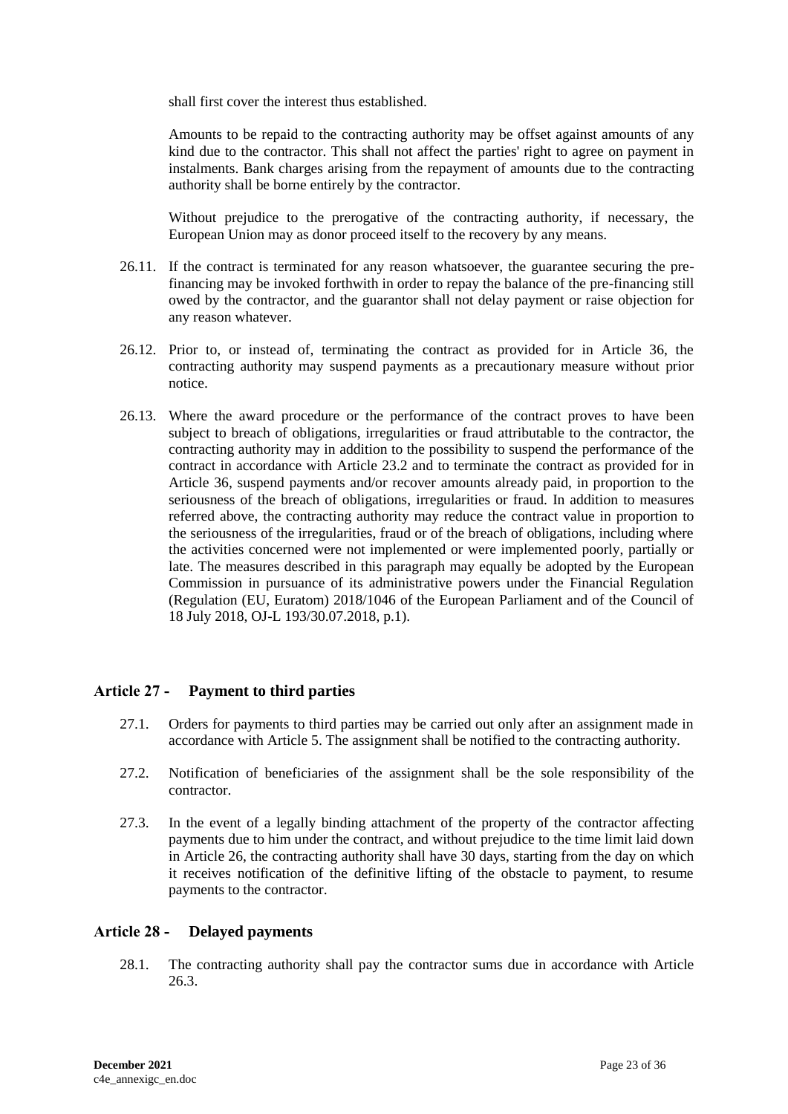shall first cover the interest thus established.

Amounts to be repaid to the contracting authority may be offset against amounts of any kind due to the contractor. This shall not affect the parties' right to agree on payment in instalments. Bank charges arising from the repayment of amounts due to the contracting authority shall be borne entirely by the contractor.

Without prejudice to the prerogative of the contracting authority, if necessary, the European Union may as donor proceed itself to the recovery by any means.

- 26.11. If the contract is terminated for any reason whatsoever, the guarantee securing the prefinancing may be invoked forthwith in order to repay the balance of the pre-financing still owed by the contractor, and the guarantor shall not delay payment or raise objection for any reason whatever.
- 26.12. Prior to, or instead of, terminating the contract as provided for in Article 36, the contracting authority may suspend payments as a precautionary measure without prior notice.
- 26.13. Where the award procedure or the performance of the contract proves to have been subject to breach of obligations, irregularities or fraud attributable to the contractor, the contracting authority may in addition to the possibility to suspend the performance of the contract in accordance with Article 23.2 and to terminate the contract as provided for in Article 36, suspend payments and/or recover amounts already paid, in proportion to the seriousness of the breach of obligations, irregularities or fraud. In addition to measures referred above, the contracting authority may reduce the contract value in proportion to the seriousness of the irregularities, fraud or of the breach of obligations, including where the activities concerned were not implemented or were implemented poorly, partially or late. The measures described in this paragraph may equally be adopted by the European Commission in pursuance of its administrative powers under the Financial Regulation (Regulation (EU, Euratom) 2018/1046 of the European Parliament and of the Council of 18 July 2018, OJ-L 193/30.07.2018, p.1).

### <span id="page-22-0"></span>**Article 27 - Payment to third parties**

- 27.1. Orders for payments to third parties may be carried out only after an assignment made in accordance with Article 5. The assignment shall be notified to the contracting authority.
- 27.2. Notification of beneficiaries of the assignment shall be the sole responsibility of the contractor.
- 27.3. In the event of a legally binding attachment of the property of the contractor affecting payments due to him under the contract, and without prejudice to the time limit laid down in Article 26, the contracting authority shall have 30 days, starting from the day on which it receives notification of the definitive lifting of the obstacle to payment, to resume payments to the contractor.

#### <span id="page-22-1"></span>**Article 28 - Delayed payments**

28.1. The contracting authority shall pay the contractor sums due in accordance with Article 26.3.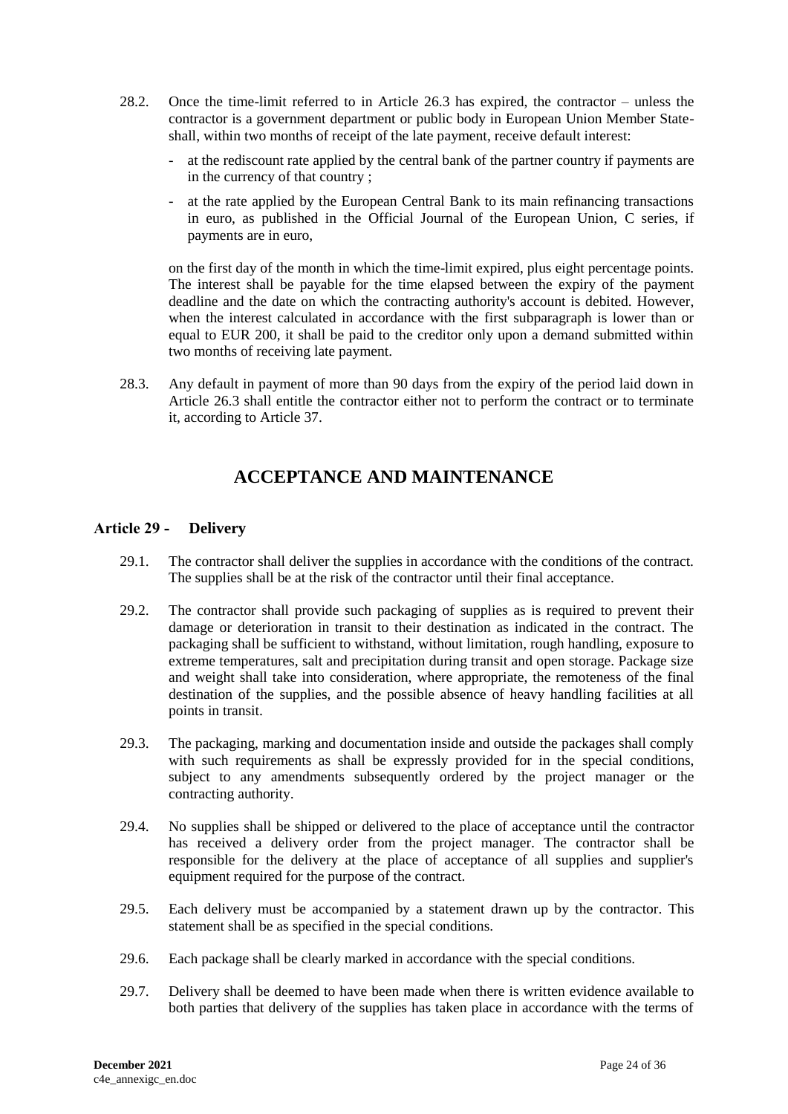- 28.2. Once the time-limit referred to in Article 26.3 has expired, the contractor unless the contractor is a government department or public body in European Union Member Stateshall, within two months of receipt of the late payment, receive default interest:
	- at the rediscount rate applied by the central bank of the partner country if payments are in the currency of that country ;
	- at the rate applied by the European Central Bank to its main refinancing transactions in euro, as published in the Official Journal of the European Union, C series, if payments are in euro,

on the first day of the month in which the time-limit expired, plus eight percentage points. The interest shall be payable for the time elapsed between the expiry of the payment deadline and the date on which the contracting authority's account is debited. However, when the interest calculated in accordance with the first subparagraph is lower than or equal to EUR 200, it shall be paid to the creditor only upon a demand submitted within two months of receiving late payment.

<span id="page-23-0"></span>28.3. Any default in payment of more than 90 days from the expiry of the period laid down in Article 26.3 shall entitle the contractor either not to perform the contract or to terminate it, according to Article 37.

# **ACCEPTANCE AND MAINTENANCE**

### <span id="page-23-1"></span>**Article 29 - Delivery**

- 29.1. The contractor shall deliver the supplies in accordance with the conditions of the contract. The supplies shall be at the risk of the contractor until their final acceptance.
- 29.2. The contractor shall provide such packaging of supplies as is required to prevent their damage or deterioration in transit to their destination as indicated in the contract. The packaging shall be sufficient to withstand, without limitation, rough handling, exposure to extreme temperatures, salt and precipitation during transit and open storage. Package size and weight shall take into consideration, where appropriate, the remoteness of the final destination of the supplies, and the possible absence of heavy handling facilities at all points in transit.
- 29.3. The packaging, marking and documentation inside and outside the packages shall comply with such requirements as shall be expressly provided for in the special conditions, subject to any amendments subsequently ordered by the project manager or the contracting authority.
- 29.4. No supplies shall be shipped or delivered to the place of acceptance until the contractor has received a delivery order from the project manager. The contractor shall be responsible for the delivery at the place of acceptance of all supplies and supplier's equipment required for the purpose of the contract.
- 29.5. Each delivery must be accompanied by a statement drawn up by the contractor. This statement shall be as specified in the special conditions.
- 29.6. Each package shall be clearly marked in accordance with the special conditions.
- 29.7. Delivery shall be deemed to have been made when there is written evidence available to both parties that delivery of the supplies has taken place in accordance with the terms of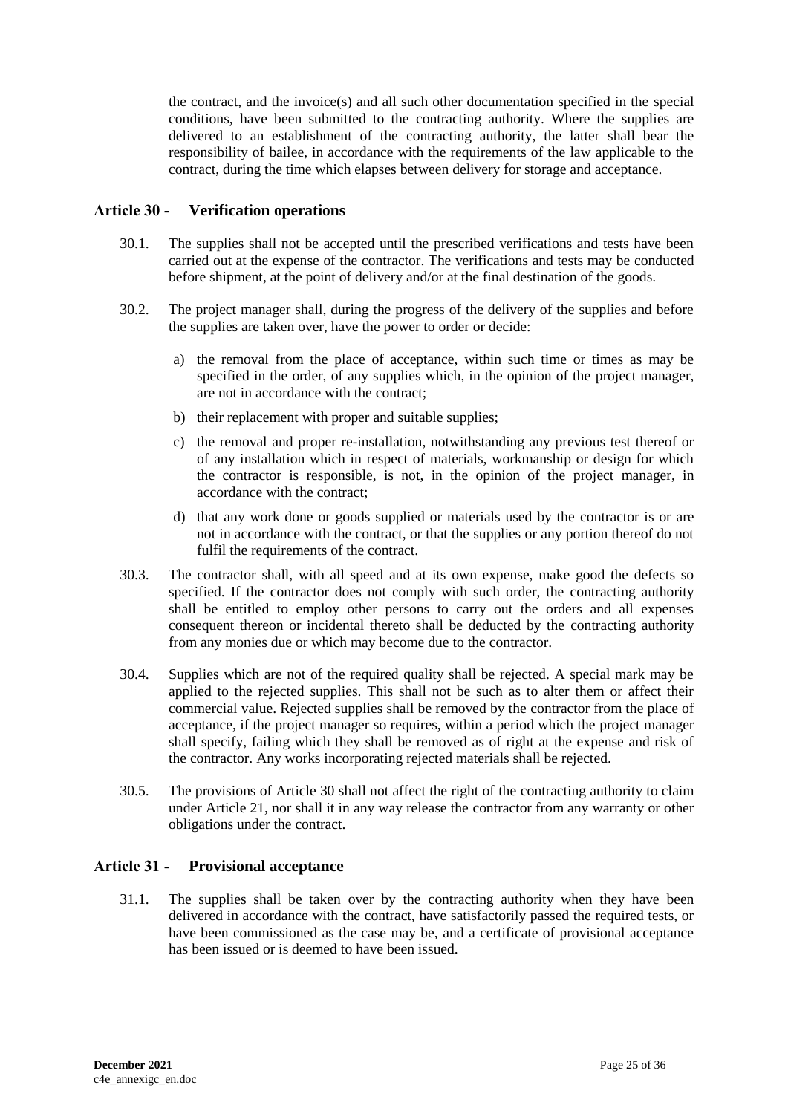the contract, and the invoice(s) and all such other documentation specified in the special conditions, have been submitted to the contracting authority. Where the supplies are delivered to an establishment of the contracting authority, the latter shall bear the responsibility of bailee, in accordance with the requirements of the law applicable to the contract, during the time which elapses between delivery for storage and acceptance.

#### <span id="page-24-0"></span>**Article 30 - Verification operations**

- 30.1. The supplies shall not be accepted until the prescribed verifications and tests have been carried out at the expense of the contractor. The verifications and tests may be conducted before shipment, at the point of delivery and/or at the final destination of the goods.
- 30.2. The project manager shall, during the progress of the delivery of the supplies and before the supplies are taken over, have the power to order or decide:
	- a) the removal from the place of acceptance, within such time or times as may be specified in the order, of any supplies which, in the opinion of the project manager, are not in accordance with the contract;
	- b) their replacement with proper and suitable supplies;
	- c) the removal and proper re-installation, notwithstanding any previous test thereof or of any installation which in respect of materials, workmanship or design for which the contractor is responsible, is not, in the opinion of the project manager, in accordance with the contract;
	- d) that any work done or goods supplied or materials used by the contractor is or are not in accordance with the contract, or that the supplies or any portion thereof do not fulfil the requirements of the contract.
- 30.3. The contractor shall, with all speed and at its own expense, make good the defects so specified. If the contractor does not comply with such order, the contracting authority shall be entitled to employ other persons to carry out the orders and all expenses consequent thereon or incidental thereto shall be deducted by the contracting authority from any monies due or which may become due to the contractor.
- 30.4. Supplies which are not of the required quality shall be rejected. A special mark may be applied to the rejected supplies. This shall not be such as to alter them or affect their commercial value. Rejected supplies shall be removed by the contractor from the place of acceptance, if the project manager so requires, within a period which the project manager shall specify, failing which they shall be removed as of right at the expense and risk of the contractor. Any works incorporating rejected materials shall be rejected.
- 30.5. The provisions of Article 30 shall not affect the right of the contracting authority to claim under Article 21, nor shall it in any way release the contractor from any warranty or other obligations under the contract.

#### <span id="page-24-1"></span>**Article 31 - Provisional acceptance**

31.1. The supplies shall be taken over by the contracting authority when they have been delivered in accordance with the contract, have satisfactorily passed the required tests, or have been commissioned as the case may be, and a certificate of provisional acceptance has been issued or is deemed to have been issued.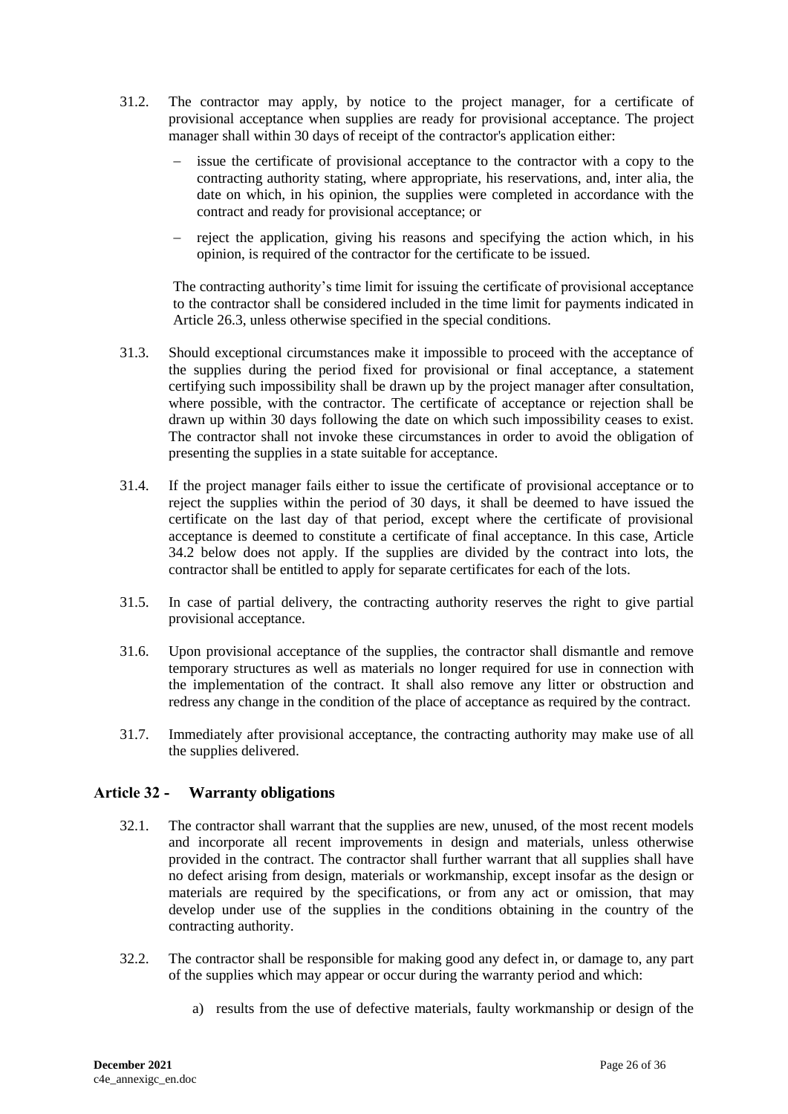- 31.2. The contractor may apply, by notice to the project manager, for a certificate of provisional acceptance when supplies are ready for provisional acceptance. The project manager shall within 30 days of receipt of the contractor's application either:
	- issue the certificate of provisional acceptance to the contractor with a copy to the contracting authority stating, where appropriate, his reservations, and, inter alia, the date on which, in his opinion, the supplies were completed in accordance with the contract and ready for provisional acceptance; or
	- reject the application, giving his reasons and specifying the action which, in his opinion, is required of the contractor for the certificate to be issued.

The contracting authority's time limit for issuing the certificate of provisional acceptance to the contractor shall be considered included in the time limit for payments indicated in Article 26.3, unless otherwise specified in the special conditions.

- 31.3. Should exceptional circumstances make it impossible to proceed with the acceptance of the supplies during the period fixed for provisional or final acceptance, a statement certifying such impossibility shall be drawn up by the project manager after consultation, where possible, with the contractor. The certificate of acceptance or rejection shall be drawn up within 30 days following the date on which such impossibility ceases to exist. The contractor shall not invoke these circumstances in order to avoid the obligation of presenting the supplies in a state suitable for acceptance.
- 31.4. If the project manager fails either to issue the certificate of provisional acceptance or to reject the supplies within the period of 30 days, it shall be deemed to have issued the certificate on the last day of that period, except where the certificate of provisional acceptance is deemed to constitute a certificate of final acceptance. In this case, Article 34.2 below does not apply. If the supplies are divided by the contract into lots, the contractor shall be entitled to apply for separate certificates for each of the lots.
- 31.5. In case of partial delivery, the contracting authority reserves the right to give partial provisional acceptance.
- 31.6. Upon provisional acceptance of the supplies, the contractor shall dismantle and remove temporary structures as well as materials no longer required for use in connection with the implementation of the contract. It shall also remove any litter or obstruction and redress any change in the condition of the place of acceptance as required by the contract.
- 31.7. Immediately after provisional acceptance, the contracting authority may make use of all the supplies delivered.

### <span id="page-25-0"></span>**Article 32 - Warranty obligations**

- 32.1. The contractor shall warrant that the supplies are new, unused, of the most recent models and incorporate all recent improvements in design and materials, unless otherwise provided in the contract. The contractor shall further warrant that all supplies shall have no defect arising from design, materials or workmanship, except insofar as the design or materials are required by the specifications, or from any act or omission, that may develop under use of the supplies in the conditions obtaining in the country of the contracting authority.
- 32.2. The contractor shall be responsible for making good any defect in, or damage to, any part of the supplies which may appear or occur during the warranty period and which:
	- a) results from the use of defective materials, faulty workmanship or design of the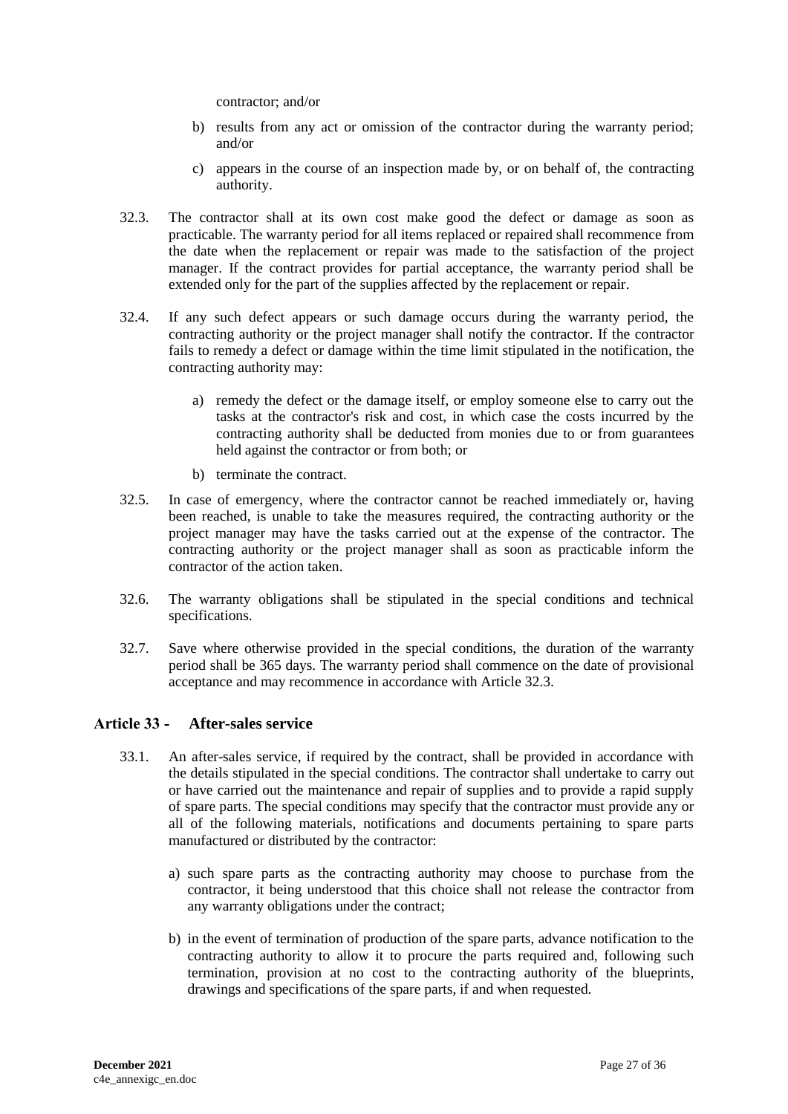contractor; and/or

- b) results from any act or omission of the contractor during the warranty period; and/or
- c) appears in the course of an inspection made by, or on behalf of, the contracting authority.
- 32.3. The contractor shall at its own cost make good the defect or damage as soon as practicable. The warranty period for all items replaced or repaired shall recommence from the date when the replacement or repair was made to the satisfaction of the project manager. If the contract provides for partial acceptance, the warranty period shall be extended only for the part of the supplies affected by the replacement or repair.
- 32.4. If any such defect appears or such damage occurs during the warranty period, the contracting authority or the project manager shall notify the contractor. If the contractor fails to remedy a defect or damage within the time limit stipulated in the notification, the contracting authority may:
	- a) remedy the defect or the damage itself, or employ someone else to carry out the tasks at the contractor's risk and cost, in which case the costs incurred by the contracting authority shall be deducted from monies due to or from guarantees held against the contractor or from both; or
	- b) terminate the contract.
- 32.5. In case of emergency, where the contractor cannot be reached immediately or, having been reached, is unable to take the measures required, the contracting authority or the project manager may have the tasks carried out at the expense of the contractor. The contracting authority or the project manager shall as soon as practicable inform the contractor of the action taken.
- 32.6. The warranty obligations shall be stipulated in the special conditions and technical specifications.
- 32.7. Save where otherwise provided in the special conditions, the duration of the warranty period shall be 365 days. The warranty period shall commence on the date of provisional acceptance and may recommence in accordance with Article 32.3.

## <span id="page-26-0"></span>**Article 33 - After-sales service**

- 33.1. An after-sales service, if required by the contract, shall be provided in accordance with the details stipulated in the special conditions. The contractor shall undertake to carry out or have carried out the maintenance and repair of supplies and to provide a rapid supply of spare parts. The special conditions may specify that the contractor must provide any or all of the following materials, notifications and documents pertaining to spare parts manufactured or distributed by the contractor:
	- a) such spare parts as the contracting authority may choose to purchase from the contractor, it being understood that this choice shall not release the contractor from any warranty obligations under the contract;
	- b) in the event of termination of production of the spare parts, advance notification to the contracting authority to allow it to procure the parts required and, following such termination, provision at no cost to the contracting authority of the blueprints, drawings and specifications of the spare parts, if and when requested.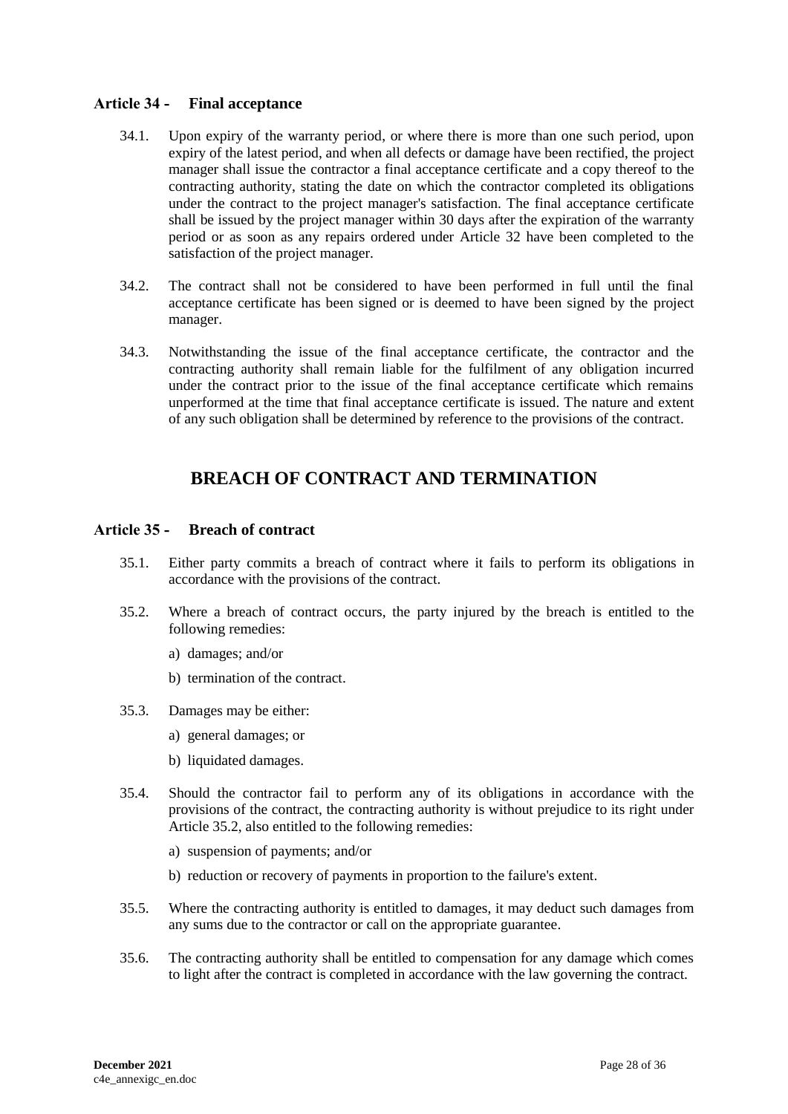### <span id="page-27-0"></span>**Article 34 - Final acceptance**

- 34.1. Upon expiry of the warranty period, or where there is more than one such period, upon expiry of the latest period, and when all defects or damage have been rectified, the project manager shall issue the contractor a final acceptance certificate and a copy thereof to the contracting authority, stating the date on which the contractor completed its obligations under the contract to the project manager's satisfaction. The final acceptance certificate shall be issued by the project manager within 30 days after the expiration of the warranty period or as soon as any repairs ordered under Article 32 have been completed to the satisfaction of the project manager.
- 34.2. The contract shall not be considered to have been performed in full until the final acceptance certificate has been signed or is deemed to have been signed by the project manager.
- 34.3. Notwithstanding the issue of the final acceptance certificate, the contractor and the contracting authority shall remain liable for the fulfilment of any obligation incurred under the contract prior to the issue of the final acceptance certificate which remains unperformed at the time that final acceptance certificate is issued. The nature and extent of any such obligation shall be determined by reference to the provisions of the contract.

## **BREACH OF CONTRACT AND TERMINATION**

### <span id="page-27-2"></span><span id="page-27-1"></span>**Article 35 - Breach of contract**

- 35.1. Either party commits a breach of contract where it fails to perform its obligations in accordance with the provisions of the contract.
- 35.2. Where a breach of contract occurs, the party injured by the breach is entitled to the following remedies:
	- a) damages; and/or
	- b) termination of the contract.
- 35.3. Damages may be either:
	- a) general damages; or
	- b) liquidated damages.
- 35.4. Should the contractor fail to perform any of its obligations in accordance with the provisions of the contract, the contracting authority is without prejudice to its right under Article 35.2, also entitled to the following remedies:
	- a) suspension of payments; and/or
	- b) reduction or recovery of payments in proportion to the failure's extent.
- 35.5. Where the contracting authority is entitled to damages, it may deduct such damages from any sums due to the contractor or call on the appropriate guarantee.
- 35.6. The contracting authority shall be entitled to compensation for any damage which comes to light after the contract is completed in accordance with the law governing the contract.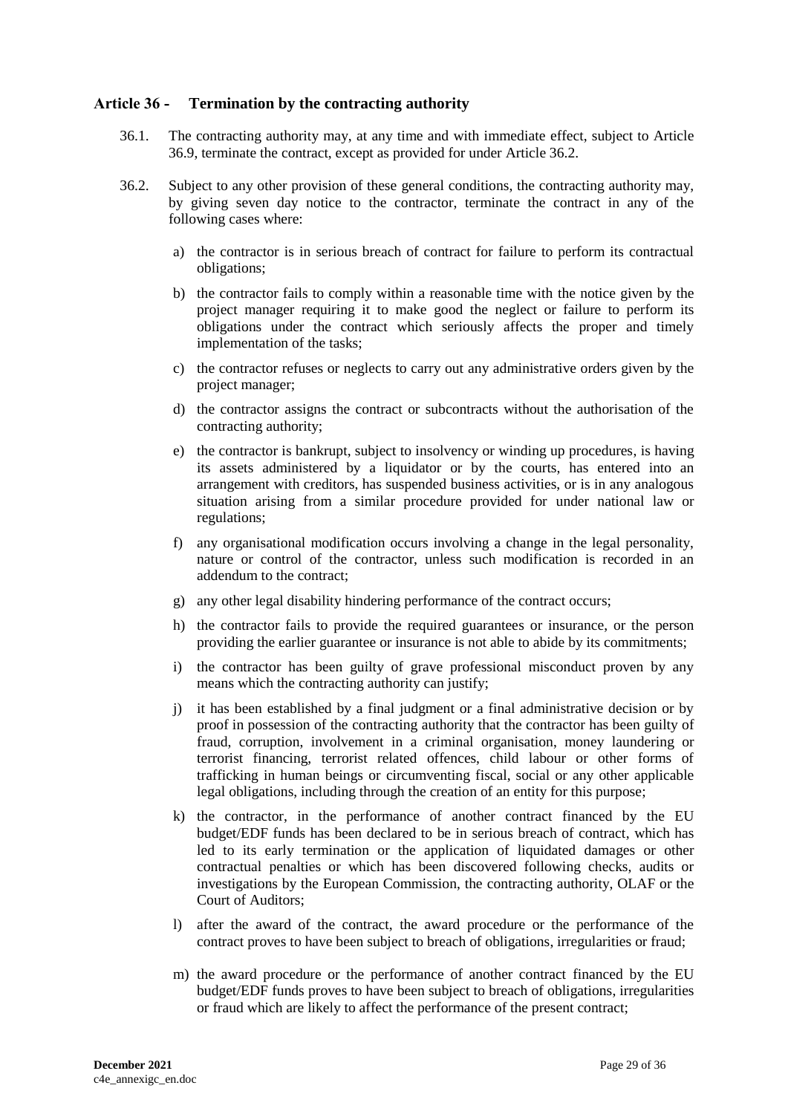#### <span id="page-28-0"></span>**Article 36 - Termination by the contracting authority**

- 36.1. The contracting authority may, at any time and with immediate effect, subject to Article 36.9, terminate the contract, except as provided for under Article 36.2.
- 36.2. Subject to any other provision of these general conditions, the contracting authority may, by giving seven day notice to the contractor, terminate the contract in any of the following cases where:
	- a) the contractor is in serious breach of contract for failure to perform its contractual obligations;
	- b) the contractor fails to comply within a reasonable time with the notice given by the project manager requiring it to make good the neglect or failure to perform its obligations under the contract which seriously affects the proper and timely implementation of the tasks;
	- c) the contractor refuses or neglects to carry out any administrative orders given by the project manager;
	- d) the contractor assigns the contract or subcontracts without the authorisation of the contracting authority;
	- e) the contractor is bankrupt, subject to insolvency or winding up procedures, is having its assets administered by a liquidator or by the courts, has entered into an arrangement with creditors, has suspended business activities, or is in any analogous situation arising from a similar procedure provided for under national law or regulations;
	- f) any organisational modification occurs involving a change in the legal personality, nature or control of the contractor, unless such modification is recorded in an addendum to the contract;
	- g) any other legal disability hindering performance of the contract occurs;
	- h) the contractor fails to provide the required guarantees or insurance, or the person providing the earlier guarantee or insurance is not able to abide by its commitments;
	- i) the contractor has been guilty of grave professional misconduct proven by any means which the contracting authority can justify;
	- j) it has been established by a final judgment or a final administrative decision or by proof in possession of the contracting authority that the contractor has been guilty of fraud, corruption, involvement in a criminal organisation, money laundering or terrorist financing, terrorist related offences, child labour or other forms of trafficking in human beings or circumventing fiscal, social or any other applicable legal obligations, including through the creation of an entity for this purpose;
	- k) the contractor, in the performance of another contract financed by the EU budget/EDF funds has been declared to be in serious breach of contract, which has led to its early termination or the application of liquidated damages or other contractual penalties or which has been discovered following checks, audits or investigations by the European Commission, the contracting authority, OLAF or the Court of Auditors;
	- l) after the award of the contract, the award procedure or the performance of the contract proves to have been subject to breach of obligations, irregularities or fraud;
	- m) the award procedure or the performance of another contract financed by the EU budget/EDF funds proves to have been subject to breach of obligations, irregularities or fraud which are likely to affect the performance of the present contract;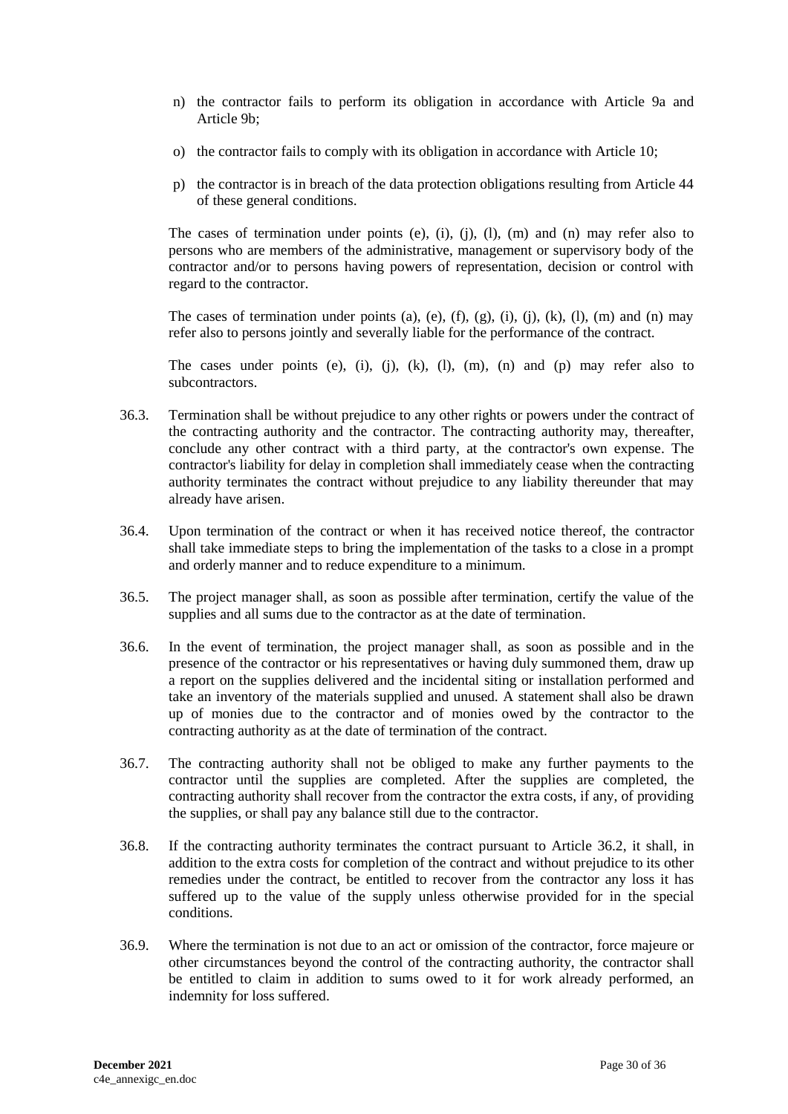- n) the contractor fails to perform its obligation in accordance with Article 9a and Article 9b;
- o) the contractor fails to comply with its obligation in accordance with Article 10;
- p) the contractor is in breach of the data protection obligations resulting from Article 44 of these general conditions.

The cases of termination under points (e), (i), (j), (l), (m) and (n) may refer also to persons who are members of the administrative, management or supervisory body of the contractor and/or to persons having powers of representation, decision or control with regard to the contractor.

The cases of termination under points (a), (e), (f), (g), (i), (j), (k), (l), (m) and (n) may refer also to persons jointly and severally liable for the performance of the contract.

The cases under points (e), (i), (j), (k), (l), (m), (n) and (p) may refer also to subcontractors.

- 36.3. Termination shall be without prejudice to any other rights or powers under the contract of the contracting authority and the contractor. The contracting authority may, thereafter, conclude any other contract with a third party, at the contractor's own expense. The contractor's liability for delay in completion shall immediately cease when the contracting authority terminates the contract without prejudice to any liability thereunder that may already have arisen.
- 36.4. Upon termination of the contract or when it has received notice thereof, the contractor shall take immediate steps to bring the implementation of the tasks to a close in a prompt and orderly manner and to reduce expenditure to a minimum.
- 36.5. The project manager shall, as soon as possible after termination, certify the value of the supplies and all sums due to the contractor as at the date of termination.
- 36.6. In the event of termination, the project manager shall, as soon as possible and in the presence of the contractor or his representatives or having duly summoned them, draw up a report on the supplies delivered and the incidental siting or installation performed and take an inventory of the materials supplied and unused. A statement shall also be drawn up of monies due to the contractor and of monies owed by the contractor to the contracting authority as at the date of termination of the contract.
- 36.7. The contracting authority shall not be obliged to make any further payments to the contractor until the supplies are completed. After the supplies are completed, the contracting authority shall recover from the contractor the extra costs, if any, of providing the supplies, or shall pay any balance still due to the contractor.
- 36.8. If the contracting authority terminates the contract pursuant to Article 36.2, it shall, in addition to the extra costs for completion of the contract and without prejudice to its other remedies under the contract, be entitled to recover from the contractor any loss it has suffered up to the value of the supply unless otherwise provided for in the special conditions.
- 36.9. Where the termination is not due to an act or omission of the contractor, force majeure or other circumstances beyond the control of the contracting authority, the contractor shall be entitled to claim in addition to sums owed to it for work already performed, an indemnity for loss suffered.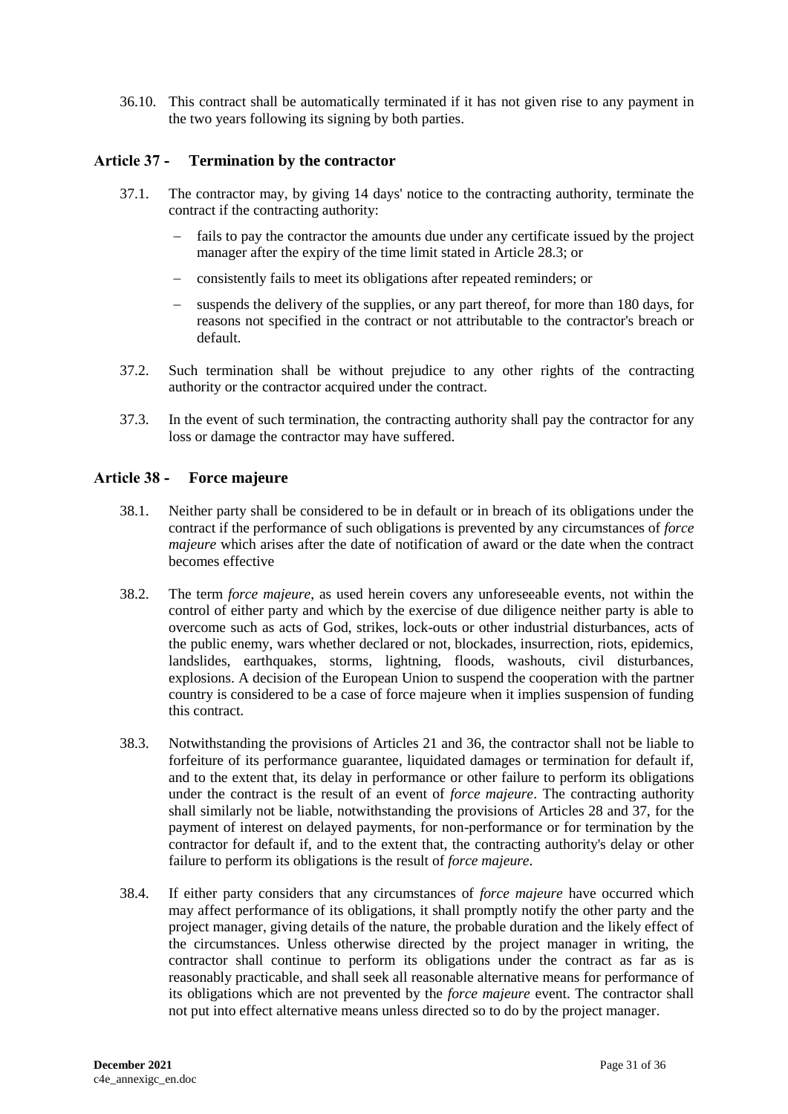36.10. This contract shall be automatically terminated if it has not given rise to any payment in the two years following its signing by both parties.

#### <span id="page-30-0"></span>**Article 37 - Termination by the contractor**

- 37.1. The contractor may, by giving 14 days' notice to the contracting authority, terminate the contract if the contracting authority:
	- fails to pay the contractor the amounts due under any certificate issued by the project manager after the expiry of the time limit stated in Article 28.3; or
	- consistently fails to meet its obligations after repeated reminders; or
	- suspends the delivery of the supplies, or any part thereof, for more than 180 days, for reasons not specified in the contract or not attributable to the contractor's breach or default.
- 37.2. Such termination shall be without prejudice to any other rights of the contracting authority or the contractor acquired under the contract.
- 37.3. In the event of such termination, the contracting authority shall pay the contractor for any loss or damage the contractor may have suffered.

#### <span id="page-30-1"></span>**Article 38 - Force majeure**

- 38.1. Neither party shall be considered to be in default or in breach of its obligations under the contract if the performance of such obligations is prevented by any circumstances of *force majeure* which arises after the date of notification of award or the date when the contract becomes effective
- 38.2. The term *force majeure*, as used herein covers any unforeseeable events, not within the control of either party and which by the exercise of due diligence neither party is able to overcome such as acts of God, strikes, lock-outs or other industrial disturbances, acts of the public enemy, wars whether declared or not, blockades, insurrection, riots, epidemics, landslides, earthquakes, storms, lightning, floods, washouts, civil disturbances, explosions. A decision of the European Union to suspend the cooperation with the partner country is considered to be a case of force majeure when it implies suspension of funding this contract.
- 38.3. Notwithstanding the provisions of Articles 21 and 36, the contractor shall not be liable to forfeiture of its performance guarantee, liquidated damages or termination for default if, and to the extent that, its delay in performance or other failure to perform its obligations under the contract is the result of an event of *force majeure*. The contracting authority shall similarly not be liable, notwithstanding the provisions of Articles 28 and 37, for the payment of interest on delayed payments, for non-performance or for termination by the contractor for default if, and to the extent that, the contracting authority's delay or other failure to perform its obligations is the result of *force majeure*.
- 38.4. If either party considers that any circumstances of *force majeure* have occurred which may affect performance of its obligations, it shall promptly notify the other party and the project manager, giving details of the nature, the probable duration and the likely effect of the circumstances. Unless otherwise directed by the project manager in writing, the contractor shall continue to perform its obligations under the contract as far as is reasonably practicable, and shall seek all reasonable alternative means for performance of its obligations which are not prevented by the *force majeure* event. The contractor shall not put into effect alternative means unless directed so to do by the project manager.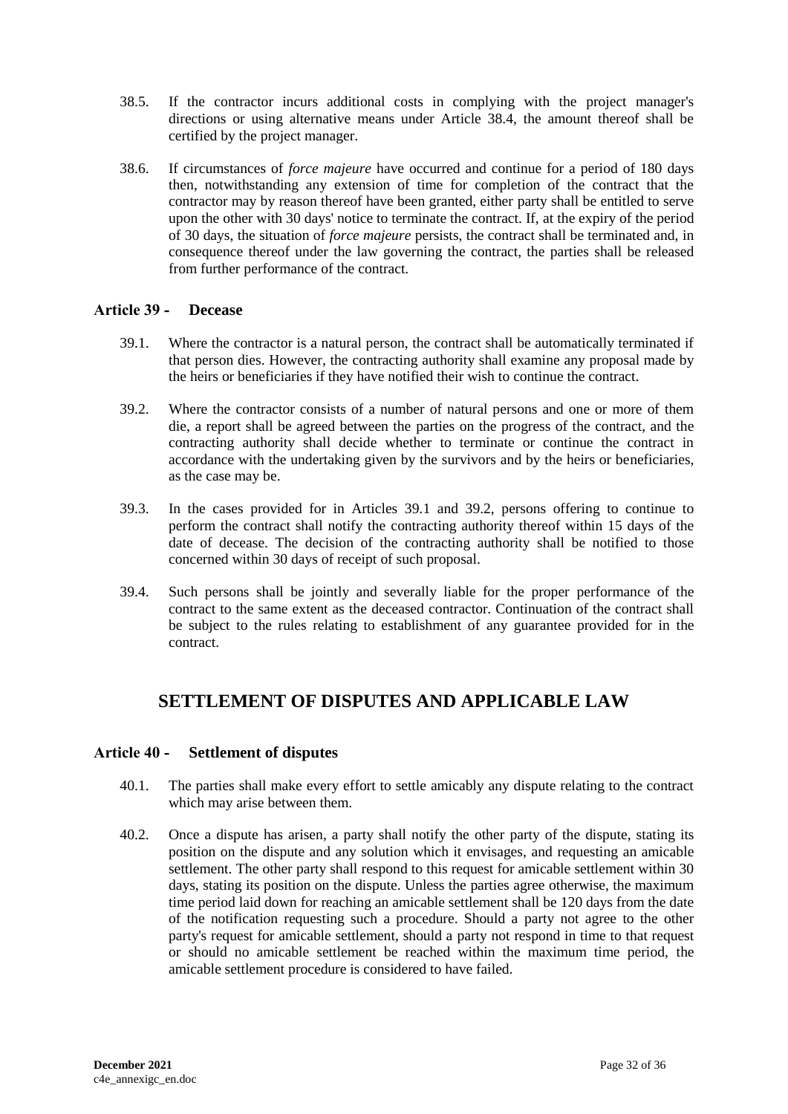- 38.5. If the contractor incurs additional costs in complying with the project manager's directions or using alternative means under Article 38.4, the amount thereof shall be certified by the project manager.
- 38.6. If circumstances of *force majeure* have occurred and continue for a period of 180 days then, notwithstanding any extension of time for completion of the contract that the contractor may by reason thereof have been granted, either party shall be entitled to serve upon the other with 30 days' notice to terminate the contract. If, at the expiry of the period of 30 days, the situation of *force majeure* persists, the contract shall be terminated and, in consequence thereof under the law governing the contract, the parties shall be released from further performance of the contract.

#### <span id="page-31-0"></span>**Article 39 - Decease**

- 39.1. Where the contractor is a natural person, the contract shall be automatically terminated if that person dies. However, the contracting authority shall examine any proposal made by the heirs or beneficiaries if they have notified their wish to continue the contract.
- 39.2. Where the contractor consists of a number of natural persons and one or more of them die, a report shall be agreed between the parties on the progress of the contract, and the contracting authority shall decide whether to terminate or continue the contract in accordance with the undertaking given by the survivors and by the heirs or beneficiaries, as the case may be.
- 39.3. In the cases provided for in Articles 39.1 and 39.2, persons offering to continue to perform the contract shall notify the contracting authority thereof within 15 days of the date of decease. The decision of the contracting authority shall be notified to those concerned within 30 days of receipt of such proposal.
- 39.4. Such persons shall be jointly and severally liable for the proper performance of the contract to the same extent as the deceased contractor. Continuation of the contract shall be subject to the rules relating to establishment of any guarantee provided for in the contract.

## <span id="page-31-1"></span>**SETTLEMENT OF DISPUTES AND APPLICABLE LAW**

### <span id="page-31-2"></span>**Article 40 - Settlement of disputes**

- 40.1. The parties shall make every effort to settle amicably any dispute relating to the contract which may arise between them.
- 40.2. Once a dispute has arisen, a party shall notify the other party of the dispute, stating its position on the dispute and any solution which it envisages, and requesting an amicable settlement. The other party shall respond to this request for amicable settlement within 30 days, stating its position on the dispute. Unless the parties agree otherwise, the maximum time period laid down for reaching an amicable settlement shall be 120 days from the date of the notification requesting such a procedure. Should a party not agree to the other party's request for amicable settlement, should a party not respond in time to that request or should no amicable settlement be reached within the maximum time period, the amicable settlement procedure is considered to have failed.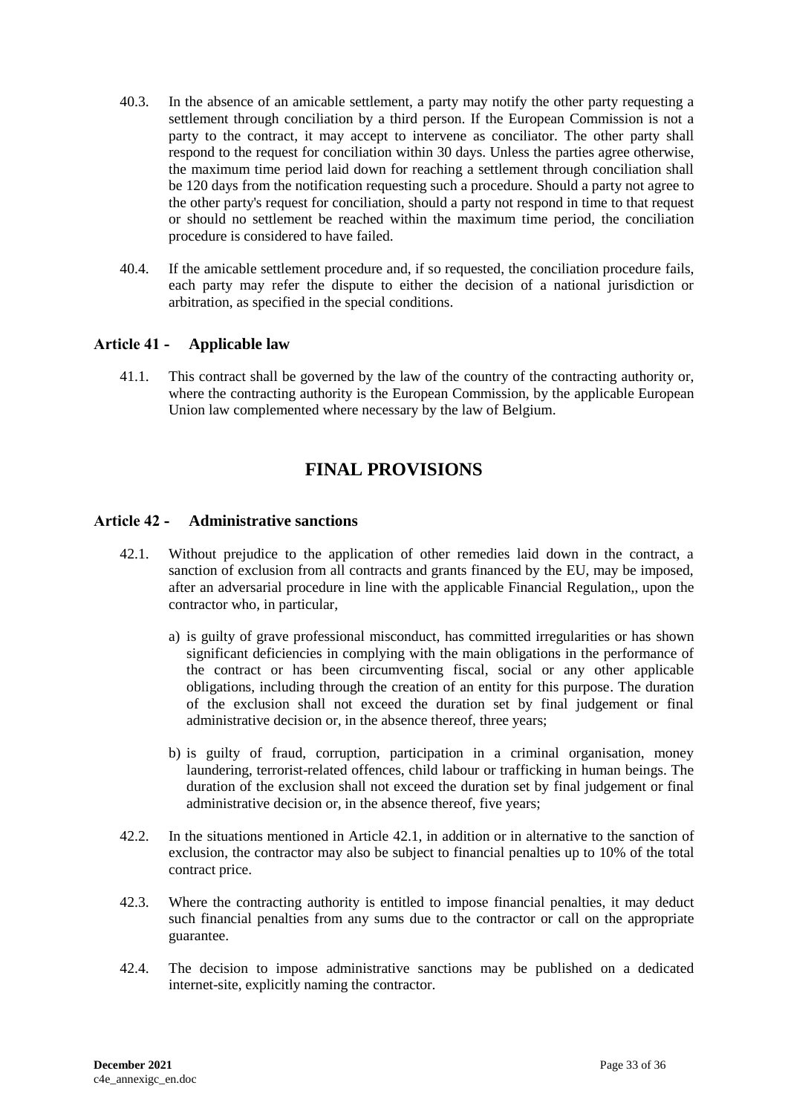- 40.3. In the absence of an amicable settlement, a party may notify the other party requesting a settlement through conciliation by a third person. If the European Commission is not a party to the contract, it may accept to intervene as conciliator. The other party shall respond to the request for conciliation within 30 days. Unless the parties agree otherwise, the maximum time period laid down for reaching a settlement through conciliation shall be 120 days from the notification requesting such a procedure. Should a party not agree to the other party's request for conciliation, should a party not respond in time to that request or should no settlement be reached within the maximum time period, the conciliation procedure is considered to have failed.
- 40.4. If the amicable settlement procedure and, if so requested, the conciliation procedure fails, each party may refer the dispute to either the decision of a national jurisdiction or arbitration, as specified in the special conditions.

## <span id="page-32-0"></span>**Article 41 - Applicable law**

<span id="page-32-1"></span>41.1. This contract shall be governed by the law of the country of the contracting authority or, where the contracting authority is the European Commission, by the applicable European Union law complemented where necessary by the law of Belgium.

## **FINAL PROVISIONS**

#### <span id="page-32-2"></span>**Article 42 - Administrative sanctions**

- 42.1. Without prejudice to the application of other remedies laid down in the contract, a sanction of exclusion from all contracts and grants financed by the EU, may be imposed, after an adversarial procedure in line with the applicable Financial Regulation,, upon the contractor who, in particular,
	- a) is guilty of grave professional misconduct, has committed irregularities or has shown significant deficiencies in complying with the main obligations in the performance of the contract or has been circumventing fiscal, social or any other applicable obligations, including through the creation of an entity for this purpose. The duration of the exclusion shall not exceed the duration set by final judgement or final administrative decision or, in the absence thereof, three years;
	- b) is guilty of fraud, corruption, participation in a criminal organisation, money laundering, terrorist-related offences, child labour or trafficking in human beings. The duration of the exclusion shall not exceed the duration set by final judgement or final administrative decision or, in the absence thereof, five years;
- 42.2. In the situations mentioned in Article 42.1, in addition or in alternative to the sanction of exclusion, the contractor may also be subject to financial penalties up to 10% of the total contract price.
- 42.3. Where the contracting authority is entitled to impose financial penalties, it may deduct such financial penalties from any sums due to the contractor or call on the appropriate guarantee.
- 42.4. The decision to impose administrative sanctions may be published on a dedicated internet-site, explicitly naming the contractor.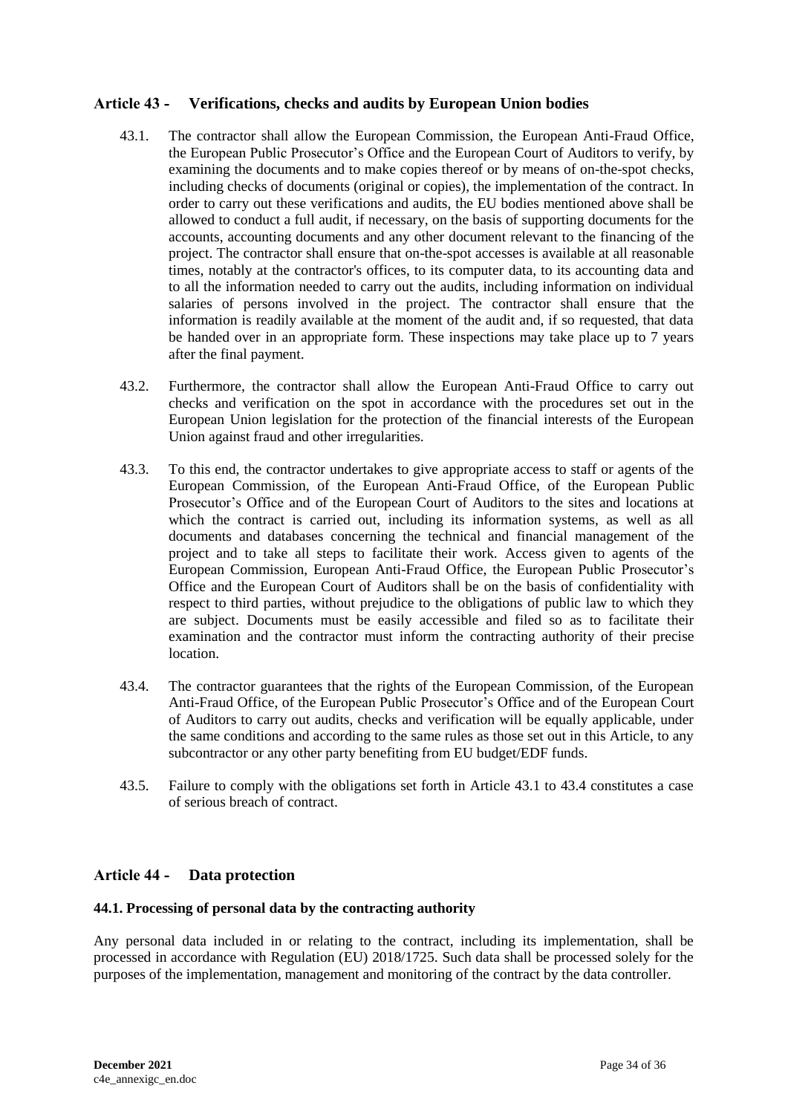## <span id="page-33-0"></span>**Article 43 - Verifications, checks and audits by European Union bodies**

- 43.1. The contractor shall allow the European Commission, the European Anti-Fraud Office, the European Public Prosecutor's Office and the European Court of Auditors to verify, by examining the documents and to make copies thereof or by means of on-the-spot checks, including checks of documents (original or copies), the implementation of the contract. In order to carry out these verifications and audits, the EU bodies mentioned above shall be allowed to conduct a full audit, if necessary, on the basis of supporting documents for the accounts, accounting documents and any other document relevant to the financing of the project. The contractor shall ensure that on-the-spot accesses is available at all reasonable times, notably at the contractor's offices, to its computer data, to its accounting data and to all the information needed to carry out the audits, including information on individual salaries of persons involved in the project. The contractor shall ensure that the information is readily available at the moment of the audit and, if so requested, that data be handed over in an appropriate form. These inspections may take place up to 7 years after the final payment.
- 43.2. Furthermore, the contractor shall allow the European Anti-Fraud Office to carry out checks and verification on the spot in accordance with the procedures set out in the European Union legislation for the protection of the financial interests of the European Union against fraud and other irregularities.
- 43.3. To this end, the contractor undertakes to give appropriate access to staff or agents of the European Commission, of the European Anti-Fraud Office, of the European Public Prosecutor's Office and of the European Court of Auditors to the sites and locations at which the contract is carried out, including its information systems, as well as all documents and databases concerning the technical and financial management of the project and to take all steps to facilitate their work. Access given to agents of the European Commission, European Anti-Fraud Office, the European Public Prosecutor's Office and the European Court of Auditors shall be on the basis of confidentiality with respect to third parties, without prejudice to the obligations of public law to which they are subject. Documents must be easily accessible and filed so as to facilitate their examination and the contractor must inform the contracting authority of their precise location.
- 43.4. The contractor guarantees that the rights of the European Commission, of the European Anti-Fraud Office, of the European Public Prosecutor's Office and of the European Court of Auditors to carry out audits, checks and verification will be equally applicable, under the same conditions and according to the same rules as those set out in this Article, to any subcontractor or any other party benefiting from EU budget/EDF funds.
- 43.5. Failure to comply with the obligations set forth in Article 43.1 to 43.4 constitutes a case of serious breach of contract.

### <span id="page-33-1"></span>**Article 44 - Data protection**

#### **44.1. Processing of personal data by the contracting authority**

Any personal data included in or relating to the contract, including its implementation, shall be processed in accordance with Regulation (EU) 2018/1725. Such data shall be processed solely for the purposes of the implementation, management and monitoring of the contract by the data controller.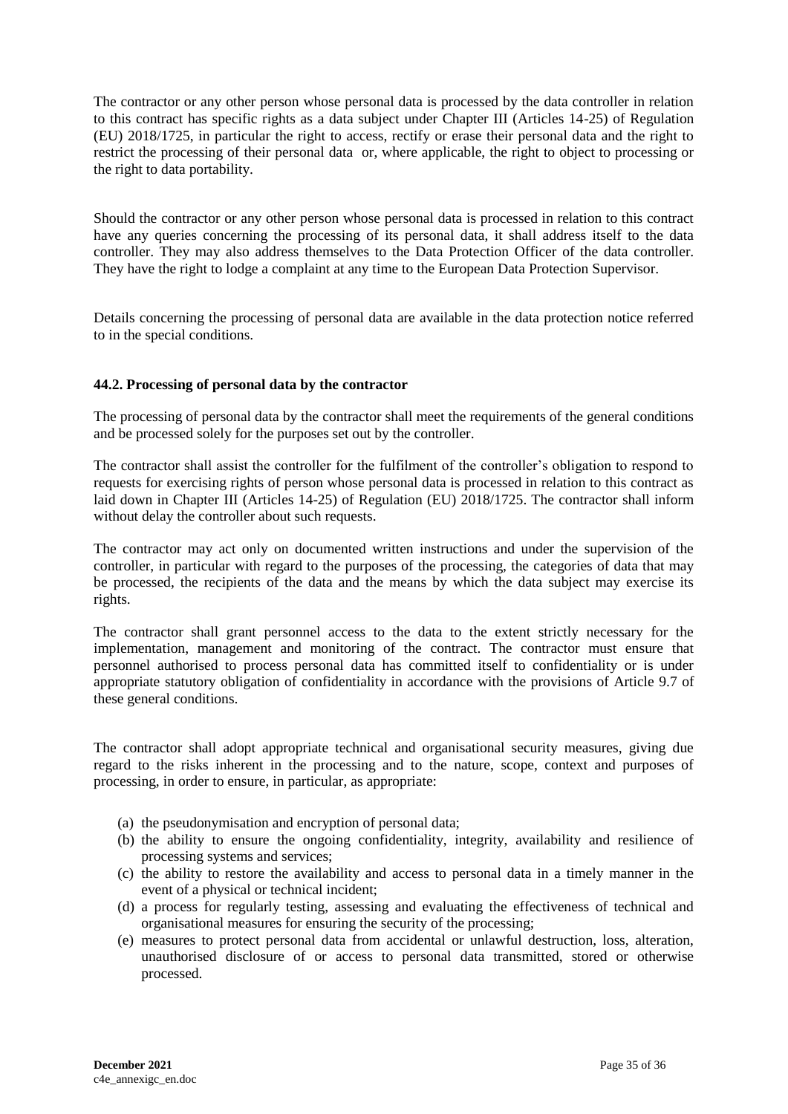The contractor or any other person whose personal data is processed by the data controller in relation to this contract has specific rights as a data subject under Chapter III (Articles 14-25) of Regulation (EU) 2018/1725, in particular the right to access, rectify or erase their personal data and the right to restrict the processing of their personal data or, where applicable, the right to object to processing or the right to data portability.

Should the contractor or any other person whose personal data is processed in relation to this contract have any queries concerning the processing of its personal data, it shall address itself to the data controller. They may also address themselves to the Data Protection Officer of the data controller. They have the right to lodge a complaint at any time to the European Data Protection Supervisor.

Details concerning the processing of personal data are available in the data protection notice referred to in the special conditions.

#### **44.2. Processing of personal data by the contractor**

The processing of personal data by the contractor shall meet the requirements of the general conditions and be processed solely for the purposes set out by the controller.

The contractor shall assist the controller for the fulfilment of the controller's obligation to respond to requests for exercising rights of person whose personal data is processed in relation to this contract as laid down in Chapter III (Articles 14-25) of Regulation (EU) 2018/1725. The contractor shall inform without delay the controller about such requests.

The contractor may act only on documented written instructions and under the supervision of the controller, in particular with regard to the purposes of the processing, the categories of data that may be processed, the recipients of the data and the means by which the data subject may exercise its rights.

The contractor shall grant personnel access to the data to the extent strictly necessary for the implementation, management and monitoring of the contract. The contractor must ensure that personnel authorised to process personal data has committed itself to confidentiality or is under appropriate statutory obligation of confidentiality in accordance with the provisions of Article 9.7 of these general conditions.

The contractor shall adopt appropriate technical and organisational security measures, giving due regard to the risks inherent in the processing and to the nature, scope, context and purposes of processing, in order to ensure, in particular, as appropriate:

- (a) the pseudonymisation and encryption of personal data;
- (b) the ability to ensure the ongoing confidentiality, integrity, availability and resilience of processing systems and services;
- (c) the ability to restore the availability and access to personal data in a timely manner in the event of a physical or technical incident;
- (d) a process for regularly testing, assessing and evaluating the effectiveness of technical and organisational measures for ensuring the security of the processing;
- (e) measures to protect personal data from accidental or unlawful destruction, loss, alteration, unauthorised disclosure of or access to personal data transmitted, stored or otherwise processed.